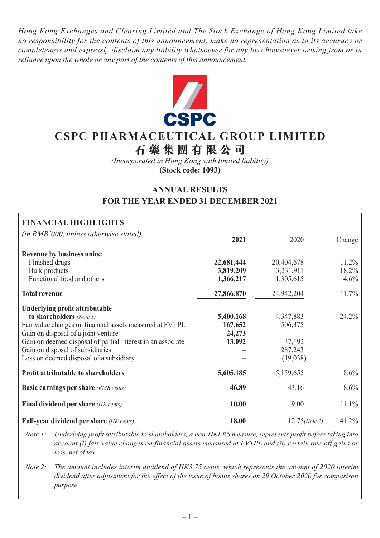*Hong Kong Exchanges and Clearing Limited and The Stock Exchange of Hong Kong Limited take no responsibility for the contents of this announcement, make no representation as to its accuracy or completeness and expressly disclaim any liability whatsoever for any loss howsoever arising from or in reliance upon the whole or any part of the contents of this announcement.*



# **CSPC PHARMACEUTICAL GROUP LIMITED**

**石藥集團 有 限公司**

*(Incorporated in Hong Kong with limited liability)* **(Stock code: 1093)**

# **ANNUAL RESULTS FOR THE YEAR ENDED 31 DECEMBER 2021**

| <b>FINANCIAL HIGHLIGHTS</b>                                 |            |                  |         |
|-------------------------------------------------------------|------------|------------------|---------|
| (in RMB'000, unless otherwise stated)                       | 2021       | 2020             | Change  |
| <b>Revenue by business units:</b>                           |            |                  |         |
| Finished drugs                                              | 22,681,444 | 20,404,678       | 11.2%   |
| <b>Bulk</b> products                                        | 3,819,209  | 3,231,911        | 18.2%   |
| Functional food and others                                  | 1,366,217  | 1,305,615        | 4.6%    |
| <b>Total revenue</b>                                        | 27,866,870 | 24,942,204       | 11.7%   |
| Underlying profit attributable                              |            |                  |         |
| to shareholders (Note 1)                                    | 5,400,168  | 4,347,883        | 24.2%   |
| Fair value changes on financial assets measured at FVTPL    | 167,652    | 506,375          |         |
| Gain on disposal of a joint venture                         | 24,273     |                  |         |
| Gain on deemed disposal of partial interest in an associate | 13,092     | 37,192           |         |
| Gain on disposal of subsidiaries                            |            | 287,243          |         |
| Loss on deemed disposal of a subsidiary                     |            | (19,038)         |         |
| <b>Profit attributable to shareholders</b>                  | 5,605,185  | 5,159,655        | $8.6\%$ |
| <b>Basic earnings per share</b> (RMB cents)                 | 46.89      | 43.16            | 8.6%    |
| Final dividend per share (HK cents)                         | 10.00      | 9.00             | 11.1%   |
| <b>Full-year dividend per share (HK cents)</b>              | 18.00      | $12.75$ (Note 2) | 41.2%   |

*Note 1: Underlying profit attributable to shareholders, a non-HKFRS measure, represents profit before taking into account (i) fair value changes on financial assets measured at FVTPL and (ii) certain one-off gains or loss, net of tax.*

*Note 2: The amount includes interim dividend of HK3.75 cents, which represents the amount of 2020 interim dividend after adjustment for the effect of the issue of bonus shares on 29 October 2020 for comparison purpose.*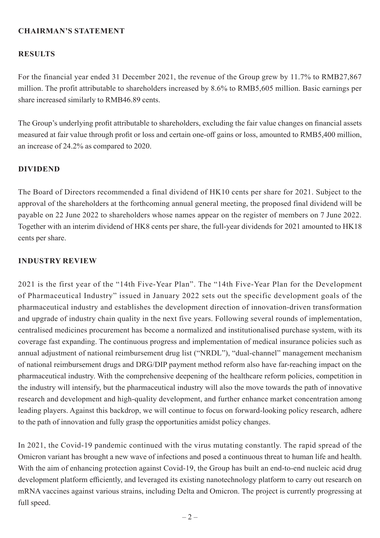## **CHAIRMAN'S STATEMENT**

## **RESULTS**

For the financial year ended 31 December 2021, the revenue of the Group grew by 11.7% to RMB27,867 million. The profit attributable to shareholders increased by 8.6% to RMB5,605 million. Basic earnings per share increased similarly to RMB46.89 cents.

The Group's underlying profit attributable to shareholders, excluding the fair value changes on financial assets measured at fair value through profit or loss and certain one-off gains or loss, amounted to RMB5,400 million, an increase of 24.2% as compared to 2020.

## **DIVIDEND**

The Board of Directors recommended a final dividend of HK10 cents per share for 2021. Subject to the approval of the shareholders at the forthcoming annual general meeting, the proposed final dividend will be payable on 22 June 2022 to shareholders whose names appear on the register of members on 7 June 2022. Together with an interim dividend of HK8 cents per share, the full-year dividends for 2021 amounted to HK18 cents per share.

## **INDUSTRY REVIEW**

2021 is the first year of the "14th Five-Year Plan". The "14th Five-Year Plan for the Development of Pharmaceutical Industry" issued in January 2022 sets out the specific development goals of the pharmaceutical industry and establishes the development direction of innovation-driven transformation and upgrade of industry chain quality in the next five years. Following several rounds of implementation, centralised medicines procurement has become a normalized and institutionalised purchase system, with its coverage fast expanding. The continuous progress and implementation of medical insurance policies such as annual adjustment of national reimbursement drug list ("NRDL"), "dual-channel" management mechanism of national reimbursement drugs and DRG/DIP payment method reform also have far-reaching impact on the pharmaceutical industry. With the comprehensive deepening of the healthcare reform policies, competition in the industry will intensify, but the pharmaceutical industry will also the move towards the path of innovative research and development and high-quality development, and further enhance market concentration among leading players. Against this backdrop, we will continue to focus on forward-looking policy research, adhere to the path of innovation and fully grasp the opportunities amidst policy changes.

In 2021, the Covid-19 pandemic continued with the virus mutating constantly. The rapid spread of the Omicron variant has brought a new wave of infections and posed a continuous threat to human life and health. With the aim of enhancing protection against Covid-19, the Group has built an end-to-end nucleic acid drug development platform efficiently, and leveraged its existing nanotechnology platform to carry out research on mRNA vaccines against various strains, including Delta and Omicron. The project is currently progressing at full speed.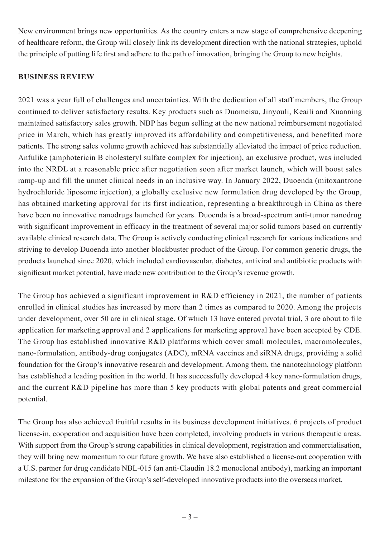New environment brings new opportunities. As the country enters a new stage of comprehensive deepening of healthcare reform, the Group will closely link its development direction with the national strategies, uphold the principle of putting life first and adhere to the path of innovation, bringing the Group to new heights.

## **BUSINESS REVIEW**

2021 was a year full of challenges and uncertainties. With the dedication of all staff members, the Group continued to deliver satisfactory results. Key products such as Duomeisu, Jinyouli, Keaili and Xuanning maintained satisfactory sales growth. NBP has begun selling at the new national reimbursement negotiated price in March, which has greatly improved its affordability and competitiveness, and benefited more patients. The strong sales volume growth achieved has substantially alleviated the impact of price reduction. Anfulike (amphotericin B cholesteryl sulfate complex for injection), an exclusive product, was included into the NRDL at a reasonable price after negotiation soon after market launch, which will boost sales ramp-up and fill the unmet clinical needs in an inclusive way. In January 2022, Duoenda (mitoxantrone hydrochloride liposome injection), a globally exclusive new formulation drug developed by the Group, has obtained marketing approval for its first indication, representing a breakthrough in China as there have been no innovative nanodrugs launched for years. Duoenda is a broad-spectrum anti-tumor nanodrug with significant improvement in efficacy in the treatment of several major solid tumors based on currently available clinical research data. The Group is actively conducting clinical research for various indications and striving to develop Duoenda into another blockbuster product of the Group. For common generic drugs, the products launched since 2020, which included cardiovascular, diabetes, antiviral and antibiotic products with significant market potential, have made new contribution to the Group's revenue growth.

The Group has achieved a significant improvement in R&D efficiency in 2021, the number of patients enrolled in clinical studies has increased by more than 2 times as compared to 2020. Among the projects under development, over 50 are in clinical stage. Of which 13 have entered pivotal trial, 3 are about to file application for marketing approval and 2 applications for marketing approval have been accepted by CDE. The Group has established innovative R&D platforms which cover small molecules, macromolecules, nano-formulation, antibody-drug conjugates (ADC), mRNA vaccines and siRNA drugs, providing a solid foundation for the Group's innovative research and development. Among them, the nanotechnology platform has established a leading position in the world. It has successfully developed 4 key nano-formulation drugs, and the current R&D pipeline has more than 5 key products with global patents and great commercial potential.

The Group has also achieved fruitful results in its business development initiatives. 6 projects of product license-in, cooperation and acquisition have been completed, involving products in various therapeutic areas. With support from the Group's strong capabilities in clinical development, registration and commercialisation, they will bring new momentum to our future growth. We have also established a license-out cooperation with a U.S. partner for drug candidate NBL-015 (an anti-Claudin 18.2 monoclonal antibody), marking an important milestone for the expansion of the Group's self-developed innovative products into the overseas market.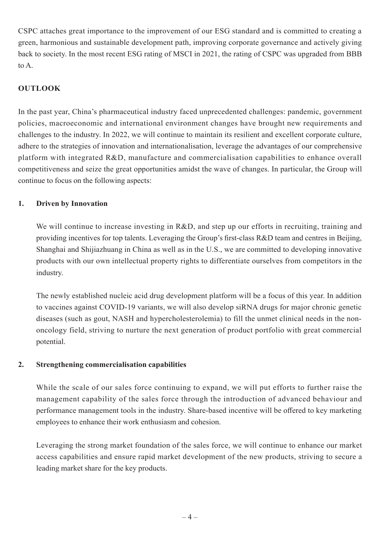CSPC attaches great importance to the improvement of our ESG standard and is committed to creating a green, harmonious and sustainable development path, improving corporate governance and actively giving back to society. In the most recent ESG rating of MSCI in 2021, the rating of CSPC was upgraded from BBB to A.

## **OUTLOOK**

In the past year, China's pharmaceutical industry faced unprecedented challenges: pandemic, government policies, macroeconomic and international environment changes have brought new requirements and challenges to the industry. In 2022, we will continue to maintain its resilient and excellent corporate culture, adhere to the strategies of innovation and internationalisation, leverage the advantages of our comprehensive platform with integrated R&D, manufacture and commercialisation capabilities to enhance overall competitiveness and seize the great opportunities amidst the wave of changes. In particular, the Group will continue to focus on the following aspects:

## **1. Driven by Innovation**

We will continue to increase investing in R&D, and step up our efforts in recruiting, training and providing incentives for top talents. Leveraging the Group's first-class R&D team and centres in Beijing, Shanghai and Shijiazhuang in China as well as in the U.S., we are committed to developing innovative products with our own intellectual property rights to differentiate ourselves from competitors in the industry.

The newly established nucleic acid drug development platform will be a focus of this year. In addition to vaccines against COVID-19 variants, we will also develop siRNA drugs for major chronic genetic diseases (such as gout, NASH and hypercholesterolemia) to fill the unmet clinical needs in the nononcology field, striving to nurture the next generation of product portfolio with great commercial potential.

## **2. Strengthening commercialisation capabilities**

While the scale of our sales force continuing to expand, we will put efforts to further raise the management capability of the sales force through the introduction of advanced behaviour and performance management tools in the industry. Share-based incentive will be offered to key marketing employees to enhance their work enthusiasm and cohesion.

Leveraging the strong market foundation of the sales force, we will continue to enhance our market access capabilities and ensure rapid market development of the new products, striving to secure a leading market share for the key products.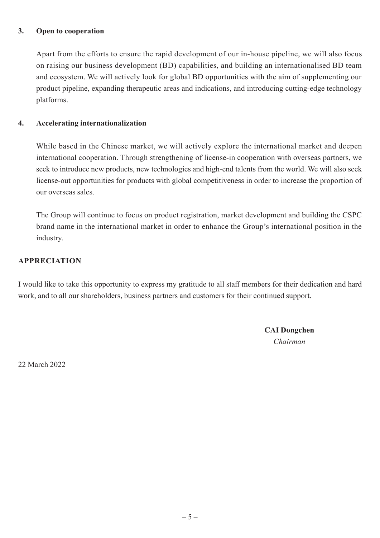## **3. Open to cooperation**

Apart from the efforts to ensure the rapid development of our in-house pipeline, we will also focus on raising our business development (BD) capabilities, and building an internationalised BD team and ecosystem. We will actively look for global BD opportunities with the aim of supplementing our product pipeline, expanding therapeutic areas and indications, and introducing cutting-edge technology platforms.

## **4. Accelerating internationalization**

While based in the Chinese market, we will actively explore the international market and deepen international cooperation. Through strengthening of license-in cooperation with overseas partners, we seek to introduce new products, new technologies and high-end talents from the world. We will also seek license-out opportunities for products with global competitiveness in order to increase the proportion of our overseas sales.

The Group will continue to focus on product registration, market development and building the CSPC brand name in the international market in order to enhance the Group's international position in the industry.

## **APPRECIATION**

I would like to take this opportunity to express my gratitude to all staff members for their dedication and hard work, and to all our shareholders, business partners and customers for their continued support.

> **CAI Dongchen** *Chairman*

22 March 2022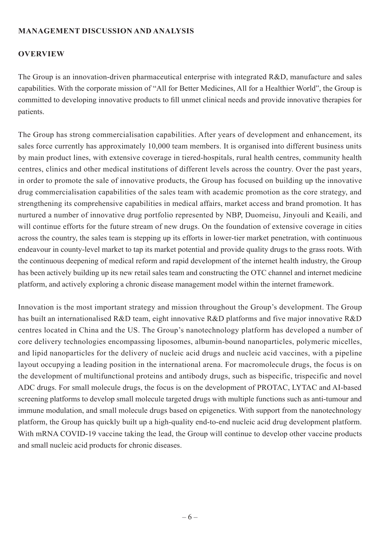## **MANAGEMENT DISCUSSION AND ANALYSIS**

## **OVERVIEW**

The Group is an innovation-driven pharmaceutical enterprise with integrated R&D, manufacture and sales capabilities. With the corporate mission of "All for Better Medicines, All for a Healthier World", the Group is committed to developing innovative products to fill unmet clinical needs and provide innovative therapies for patients.

The Group has strong commercialisation capabilities. After years of development and enhancement, its sales force currently has approximately 10,000 team members. It is organised into different business units by main product lines, with extensive coverage in tiered-hospitals, rural health centres, community health centres, clinics and other medical institutions of different levels across the country. Over the past years, in order to promote the sale of innovative products, the Group has focused on building up the innovative drug commercialisation capabilities of the sales team with academic promotion as the core strategy, and strengthening its comprehensive capabilities in medical affairs, market access and brand promotion. It has nurtured a number of innovative drug portfolio represented by NBP, Duomeisu, Jinyouli and Keaili, and will continue efforts for the future stream of new drugs. On the foundation of extensive coverage in cities across the country, the sales team is stepping up its efforts in lower-tier market penetration, with continuous endeavour in county-level market to tap its market potential and provide quality drugs to the grass roots. With the continuous deepening of medical reform and rapid development of the internet health industry, the Group has been actively building up its new retail sales team and constructing the OTC channel and internet medicine platform, and actively exploring a chronic disease management model within the internet framework.

Innovation is the most important strategy and mission throughout the Group's development. The Group has built an internationalised R&D team, eight innovative R&D platforms and five major innovative R&D centres located in China and the US. The Group's nanotechnology platform has developed a number of core delivery technologies encompassing liposomes, albumin-bound nanoparticles, polymeric micelles, and lipid nanoparticles for the delivery of nucleic acid drugs and nucleic acid vaccines, with a pipeline layout occupying a leading position in the international arena. For macromolecule drugs, the focus is on the development of multifunctional proteins and antibody drugs, such as bispecific, trispecific and novel ADC drugs. For small molecule drugs, the focus is on the development of PROTAC, LYTAC and AI-based screening platforms to develop small molecule targeted drugs with multiple functions such as anti-tumour and immune modulation, and small molecule drugs based on epigenetics. With support from the nanotechnology platform, the Group has quickly built up a high-quality end-to-end nucleic acid drug development platform. With mRNA COVID-19 vaccine taking the lead, the Group will continue to develop other vaccine products and small nucleic acid products for chronic diseases.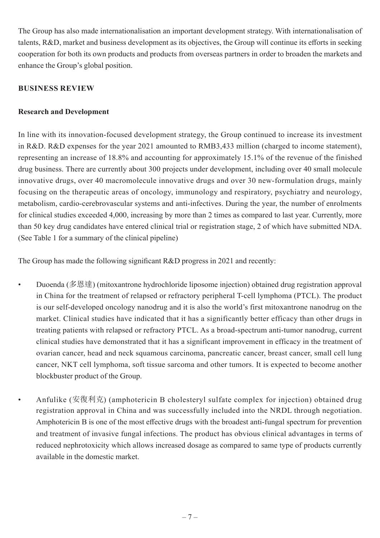The Group has also made internationalisation an important development strategy. With internationalisation of talents, R&D, market and business development as its objectives, the Group will continue its efforts in seeking cooperation for both its own products and products from overseas partners in order to broaden the markets and enhance the Group's global position.

## **BUSINESS REVIEW**

## **Research and Development**

In line with its innovation-focused development strategy, the Group continued to increase its investment in R&D. R&D expenses for the year 2021 amounted to RMB3,433 million (charged to income statement), representing an increase of 18.8% and accounting for approximately 15.1% of the revenue of the finished drug business. There are currently about 300 projects under development, including over 40 small molecule innovative drugs, over 40 macromolecule innovative drugs and over 30 new-formulation drugs, mainly focusing on the therapeutic areas of oncology, immunology and respiratory, psychiatry and neurology, metabolism, cardio-cerebrovascular systems and anti-infectives. During the year, the number of enrolments for clinical studies exceeded 4,000, increasing by more than 2 times as compared to last year. Currently, more than 50 key drug candidates have entered clinical trial or registration stage, 2 of which have submitted NDA. (See Table 1 for a summary of the clinical pipeline)

The Group has made the following significant R&D progress in 2021 and recently:

- Duoenda (多恩達) (mitoxantrone hydrochloride liposome injection) obtained drug registration approval in China for the treatment of relapsed or refractory peripheral T-cell lymphoma (PTCL). The product is our self-developed oncology nanodrug and it is also the world's first mitoxantrone nanodrug on the market. Clinical studies have indicated that it has a significantly better efficacy than other drugs in treating patients with relapsed or refractory PTCL. As a broad-spectrum anti-tumor nanodrug, current clinical studies have demonstrated that it has a significant improvement in efficacy in the treatment of ovarian cancer, head and neck squamous carcinoma, pancreatic cancer, breast cancer, small cell lung cancer, NKT cell lymphoma, soft tissue sarcoma and other tumors. It is expected to become another blockbuster product of the Group.
- Anfulike (安復利克) (amphotericin B cholesteryl sulfate complex for injection) obtained drug registration approval in China and was successfully included into the NRDL through negotiation. Amphotericin B is one of the most effective drugs with the broadest anti-fungal spectrum for prevention and treatment of invasive fungal infections. The product has obvious clinical advantages in terms of reduced nephrotoxicity which allows increased dosage as compared to same type of products currently available in the domestic market.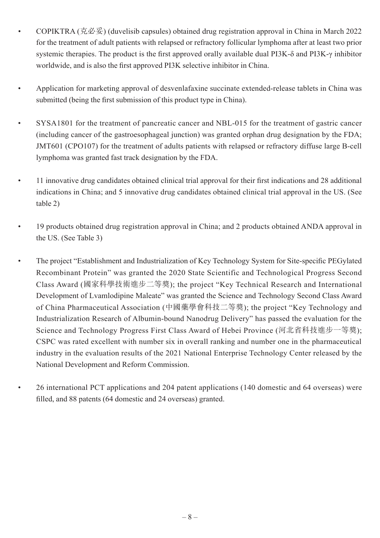- COPIKTRA (克必妥) (duvelisib capsules) obtained drug registration approval in China in March 2022 for the treatment of adult patients with relapsed or refractory follicular lymphoma after at least two prior systemic therapies. The product is the first approved orally available dual PI3K-δ and PI3K-γ inhibitor worldwide, and is also the first approved PI3K selective inhibitor in China.
- Application for marketing approval of desvenlafaxine succinate extended-release tablets in China was submitted (being the first submission of this product type in China).
- SYSA1801 for the treatment of pancreatic cancer and NBL-015 for the treatment of gastric cancer (including cancer of the gastroesophageal junction) was granted orphan drug designation by the FDA; JMT601 (CPO107) for the treatment of adults patients with relapsed or refractory diffuse large B-cell lymphoma was granted fast track designation by the FDA.
- 11 innovative drug candidates obtained clinical trial approval for their first indications and 28 additional indications in China; and 5 innovative drug candidates obtained clinical trial approval in the US. (See table 2)
- 19 products obtained drug registration approval in China; and 2 products obtained ANDA approval in the US. (See Table 3)
- The project "Establishment and Industrialization of Key Technology System for Site-specific PEGylated Recombinant Protein" was granted the 2020 State Scientific and Technological Progress Second Class Award (國家科學技術進步二等獎); the project "Key Technical Research and International Development of Lvamlodipine Maleate" was granted the Science and Technology Second Class Award of China Pharmaceutical Association (中國藥學會科技二等獎); the project "Key Technology and Industrialization Research of Albumin-bound Nanodrug Delivery" has passed the evaluation for the Science and Technology Progress First Class Award of Hebei Province (河北省科技進步一等獎); CSPC was rated excellent with number six in overall ranking and number one in the pharmaceutical industry in the evaluation results of the 2021 National Enterprise Technology Center released by the National Development and Reform Commission.
	- 26 international PCT applications and 204 patent applications (140 domestic and 64 overseas) were filled, and 88 patents (64 domestic and 24 overseas) granted.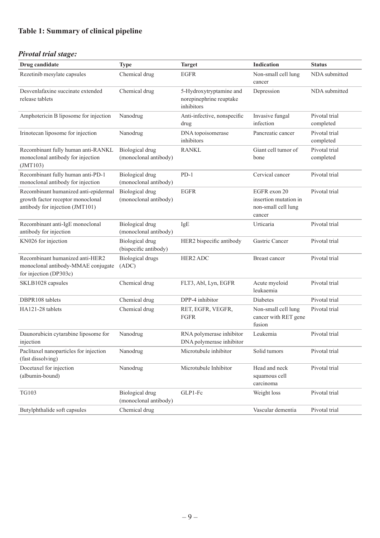# **Table 1: Summary of clinical pipeline**

# *Pivotal trial stage:*

| Drug candidate                                                                                               | <b>Type</b>                                     | <b>Target</b>                                                    | <b>Indication</b>                                                      | <b>Status</b>              |
|--------------------------------------------------------------------------------------------------------------|-------------------------------------------------|------------------------------------------------------------------|------------------------------------------------------------------------|----------------------------|
| Rezetinib mesylate capsules                                                                                  | Chemical drug                                   | <b>EGFR</b>                                                      | Non-small cell lung<br>cancer                                          | NDA submitted              |
| Desvenlafaxine succinate extended<br>release tablets                                                         | Chemical drug                                   | 5-Hydroxytryptamine and<br>norepinephrine reuptake<br>inhibitors | Depression                                                             | NDA submitted              |
| Amphotericin B liposome for injection                                                                        | Nanodrug                                        | Anti-infective, nonspecific<br>drug                              | Invasive fungal<br>infection                                           | Pivotal trial<br>completed |
| Irinotecan liposome for injection                                                                            | Nanodrug                                        | DNA topoisomerase<br>inhibitors                                  | Pancreatic cancer                                                      | Pivotal trial<br>completed |
| Recombinant fully human anti-RANKL<br>monoclonal antibody for injection<br>( JMT103)                         | Biological drug<br>(monoclonal antibody)        | <b>RANKL</b>                                                     | Giant cell tumor of<br>bone                                            | Pivotal trial<br>completed |
| Recombinant fully human anti-PD-1<br>monoclonal antibody for injection                                       | <b>Biological</b> drug<br>(monoclonal antibody) | $PD-1$                                                           | Cervical cancer                                                        | Pivotal trial              |
| Recombinant humanized anti-epidermal<br>growth factor receptor monoclonal<br>antibody for injection (JMT101) | Biological drug<br>(monoclonal antibody)        | <b>EGFR</b>                                                      | EGFR exon 20<br>insertion mutation in<br>non-small cell lung<br>cancer | Pivotal trial              |
| Recombinant anti-IgE monoclonal<br>antibody for injection                                                    | <b>Biological</b> drug<br>(monoclonal antibody) | IgE                                                              | Urticaria                                                              | Pivotal trial              |
| KN026 for injection                                                                                          | <b>Biological</b> drug<br>(bispecific antibody) | HER2 bispecific antibody                                         | Gastric Cancer                                                         | Pivotal trial              |
| Recombinant humanized anti-HER2<br>monoclonal antibody-MMAE conjugate<br>for injection (DP303c)              | <b>Biological drugs</b><br>(ADC)                | HER2 ADC                                                         | Breast cancer                                                          | Pivotal trial              |
| SKLB1028 capsules                                                                                            | Chemical drug                                   | FLT3, Abl, Lyn, EGFR                                             | Acute myeloid<br>leukaemia                                             | Pivotal trial              |
| DBPR108 tablets                                                                                              | Chemical drug                                   | DPP-4 inhibitor                                                  | Diabetes                                                               | Pivotal trial              |
| HA121-28 tablets                                                                                             | Chemical drug                                   | RET, EGFR, VEGFR,<br>FGFR                                        | Non-small cell lung<br>cancer with RET gene<br>fusion                  | Pivotal trial              |
| Daunorubicin cytarabine liposome for<br>injection                                                            | Nanodrug                                        | RNA polymerase inhibitor<br>DNA polymerase inhibitor             | Leukemia                                                               | Pivotal trial              |
| Paclitaxel nanoparticles for injection<br>(fast dissolving)                                                  | Nanodrug                                        | Microtubule inhibitor                                            | Solid tumors                                                           | Pivotal trial              |
| Docetaxel for injection<br>(albumin-bound)                                                                   | Nanodrug                                        | Microtubule Inhibitor                                            | Head and neck<br>squamous cell<br>carcinoma                            | Pivotal trial              |
| TG103                                                                                                        | <b>Biological</b> drug<br>(monoclonal antibody) | GLP1-Fc                                                          | Weight loss                                                            | Pivotal trial              |
| Butylphthalide soft capsules                                                                                 | Chemical drug                                   |                                                                  | Vascular dementia                                                      | Pivotal trial              |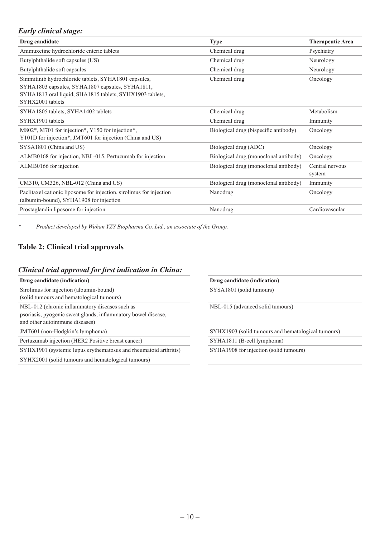## *Early clinical stage:*

| <b>Type</b>                           | <b>Therapeutic Area</b>   |
|---------------------------------------|---------------------------|
| Chemical drug                         | Psychiatry                |
| Chemical drug                         | Neurology                 |
| Chemical drug                         | Neurology                 |
| Chemical drug                         | Oncology                  |
| Chemical drug                         | Metabolism                |
| Chemical drug                         | Immunity                  |
| Biological drug (bispecific antibody) | Oncology                  |
| Biological drug (ADC)                 | Oncology                  |
| Biological drug (monoclonal antibody) | Oncology                  |
| Biological drug (monoclonal antibody) | Central nervous<br>system |
| Biological drug (monoclonal antibody) | Immunity                  |
| Nanodrug                              | Oncology                  |
| Nanodrug                              | Cardiovascular            |
|                                       |                           |

*\* Product developed by Wuhan YZY Biopharma Co. Ltd., an associate of the Group.*

## **Table 2: Clinical trial approvals**

#### *Clinical trial approval for first indication in China:*

| Sirolimus for injection (albumin-bound)                       |
|---------------------------------------------------------------|
| (solid tumours and hematological tumours)                     |
| NBL-012 (chronic inflammatory diseases such as                |
| psoriasis, pyogenic sweat glands, inflammatory bowel disease, |
| and other autoimmune diseases)                                |
| JMT601 (non-Hodgkin's lymphoma)                               |
| Pertuzumab injection (HER2 Positive breast cancer)            |

SYHX1901 (systemic lupus erythematosus and rheumatoid arthritis) SYHA1908 for injection (solid tumours)

SYHX2001 (solid tumours and hematological tumours)

**Drug candidate (indication) Drug candidate (indication)**

SYSA1801 (solid tumours)

NBL-015 (advanced solid tumours)

SYHX1903 (solid tumours and hematological tumours)

SYHA1811 (B-cell lymphoma)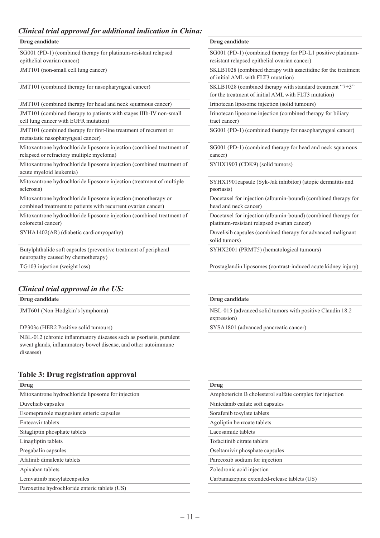## *Clinical trial approval for additional indication in China:*

#### **Drug candidate Drug candidate**

SG001 (PD-1) (combined therapy for platinum-resistant relapsed epithelial ovarian cancer)

JMT101 (combined therapy for head and neck squamous cancer) Irinotecan liposome injection (solid tumours)

JMT101 (combined therapy to patients with stages IIIb-IV non-small cell lung cancer with EGFR mutation)

JMT101 (combined therapy for first-line treatment of recurrent or metastatic nasopharyngeal cancer)

Mitoxantrone hydrochloride liposome injection (combined treatment of relapsed or refractory multiple myeloma)

Mitoxantrone hydrochloride liposome injection (combined treatment of acute myeloid leukemia)

Mitoxantrone hydrochloride liposome injection (treatment of multiple sclerosis)

Mitoxantrone hydrochloride liposome injection (monotherapy or combined treatment to patients with recurrent ovarian cancer)

Mitoxantrone hydrochloride liposome injection (combined treatment of colorectal cancer)

Butylphthalide soft capsules (preventive treatment of peripheral neuropathy caused by chemotherapy)

## *Clinical trial approval in the US:*

**Drug candidate Drug candidate**

NBL-012 (chronic inflammatory diseases such as psoriasis, purulent sweat glands, inflammatory bowel disease, and other autoimmune diseases)

#### **Table 3: Drug registration approval**

| -<br>o<br>. .                                     |                                                          |
|---------------------------------------------------|----------------------------------------------------------|
| Drug                                              | Drug                                                     |
| Mitoxantrone hydrochloride liposome for injection | Amphotericin B cholesterol sulfate complex for injection |
| Duvelisib capsules                                | Nintedanib esilate soft capsules                         |
| Esomeprazole magnesium enteric capsules           | Sorafenib tosylate tablets                               |
| Entecavir tablets                                 | Agoliptin benzoate tablets                               |
| Sitagliptin phosphate tablets                     | Lacosamide tablets                                       |
| Linagliptin tablets                               | Tofacitinib citrate tablets                              |
| Pregabalin capsules                               | Oseltamivir phosphate capsules                           |
| Afatinib dimaleate tablets                        | Parecoxib sodium for injection                           |
| Apixaban tablets                                  | Zoledronic acid injection                                |
| Lemvatinib mesylatecapsules                       | Carbamazepine extended-release tablets (US)              |
| Paroxetine hydrochloride enteric tablets (US)     |                                                          |
|                                                   |                                                          |

SG001 (PD-1) (combined therapy for PD-L1 positive platinumresistant relapsed epithelial ovarian cancer)

JMT101 (non-small cell lung cancer) SKLB1028 (combined therapy with azacitidine for the treatment of initial AML with FLT3 mutation)

JMT101 (combined therapy for nasopharyngeal cancer) SKLB1028 (combined therapy with standard treatment "7+3" for the treatment of initial AML with FLT3 mutation)

Irinotecan liposome injection (combined therapy for biliary tract cancer)

SG001 (PD-1) (combined therapy for nasopharyngeal cancer)

SG001 (PD-1) (combined therapy for head and neck squamous cancer)

SYHX1903 (CDK9) (solid tumors)

SYHX1901capsule (Syk-Jak inhibitor) (atopic dermatitis and psoriasis)

Docetaxel for injection (albumin-bound) (combined therapy for head and neck cancer)

Docetaxel for injection (albumin-bound) (combined therapy for platinum-resistant relapsed ovarian cancer)

SYHA1402(AR) (diabetic cardiomyopathy) Duvelisib capsules (combined therapy for advanced malignant solid tumors)

SYHX2001 (PRMT5) (hematological tumours)

TG103 injection (weight loss) Prostaglandin liposomes (contrast-induced acute kidney injury)

JMT601 (Non-Hodgkin's lymphoma) NBL-015 (advanced solid tumors with positive Claudin 18.2 expression)

DP303c (HER2 Positive solid tumours) SYSA1801 (advanced pancreatic cancer)

| Parecoxib sodium for injection            |
|-------------------------------------------|
| Zoledronic acid injection                 |
| Carbamazepine extended-release tablets (U |
|                                           |
|                                           |
|                                           |
|                                           |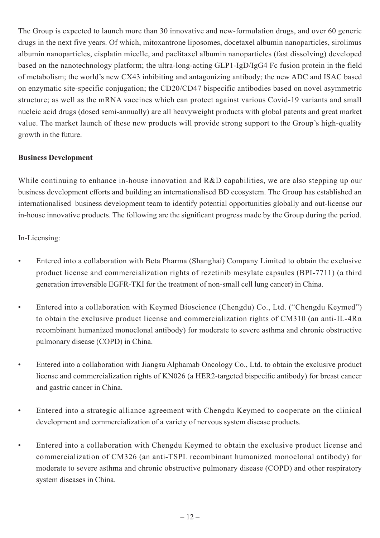The Group is expected to launch more than 30 innovative and new-formulation drugs, and over 60 generic drugs in the next five years. Of which, mitoxantrone liposomes, docetaxel albumin nanoparticles, sirolimus albumin nanoparticles, cisplatin micelle, and paclitaxel albumin nanoparticles (fast dissolving) developed based on the nanotechnology platform; the ultra-long-acting GLP1-IgD/IgG4 Fc fusion protein in the field of metabolism; the world's new CX43 inhibiting and antagonizing antibody; the new ADC and ISAC based on enzymatic site-specific conjugation; the CD20/CD47 bispecific antibodies based on novel asymmetric structure; as well as the mRNA vaccines which can protect against various Covid-19 variants and small nucleic acid drugs (dosed semi-annually) are all heavyweight products with global patents and great market value. The market launch of these new products will provide strong support to the Group's high-quality growth in the future.

## **Business Development**

While continuing to enhance in-house innovation and R&D capabilities, we are also stepping up our business development efforts and building an internationalised BD ecosystem. The Group has established an internationalised business development team to identify potential opportunities globally and out-license our in-house innovative products. The following are the significant progress made by the Group during the period.

In-Licensing:

- Entered into a collaboration with Beta Pharma (Shanghai) Company Limited to obtain the exclusive product license and commercialization rights of rezetinib mesylate capsules (BPI-7711) (a third generation irreversible EGFR-TKI for the treatment of non-small cell lung cancer) in China.
- Entered into a collaboration with Keymed Bioscience (Chengdu) Co., Ltd. ("Chengdu Keymed") to obtain the exclusive product license and commercialization rights of CM310 (an anti-IL-4R $\alpha$ ) recombinant humanized monoclonal antibody) for moderate to severe asthma and chronic obstructive pulmonary disease (COPD) in China.
- Entered into a collaboration with Jiangsu Alphamab Oncology Co., Ltd. to obtain the exclusive product license and commercialization rights of KN026 (a HER2-targeted bispecific antibody) for breast cancer and gastric cancer in China.
- Entered into a strategic alliance agreement with Chengdu Keymed to cooperate on the clinical development and commercialization of a variety of nervous system disease products.
- Entered into a collaboration with Chengdu Keymed to obtain the exclusive product license and commercialization of CM326 (an anti-TSPL recombinant humanized monoclonal antibody) for moderate to severe asthma and chronic obstructive pulmonary disease (COPD) and other respiratory system diseases in China.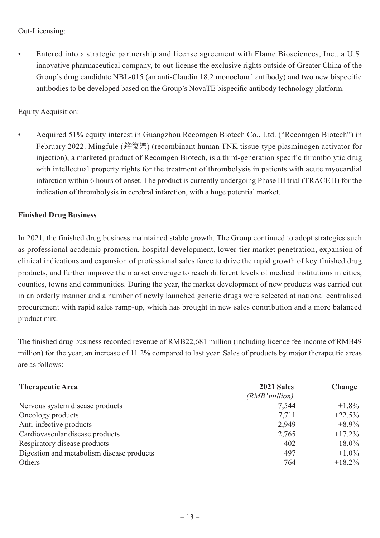## Out-Licensing:

• Entered into a strategic partnership and license agreement with Flame Biosciences, Inc., a U.S. innovative pharmaceutical company, to out-license the exclusive rights outside of Greater China of the Group's drug candidate NBL-015 (an anti-Claudin 18.2 monoclonal antibody) and two new bispecific antibodies to be developed based on the Group's NovaTE bispecific antibody technology platform.

## Equity Acquisition:

• Acquired 51% equity interest in Guangzhou Recomgen Biotech Co., Ltd. ("Recomgen Biotech") in February 2022. Mingfule (銘復樂) (recombinant human TNK tissue-type plasminogen activator for injection), a marketed product of Recomgen Biotech, is a third-generation specific thrombolytic drug with intellectual property rights for the treatment of thrombolysis in patients with acute myocardial infarction within 6 hours of onset. The product is currently undergoing Phase III trial (TRACE II) for the indication of thrombolysis in cerebral infarction, with a huge potential market.

## **Finished Drug Business**

In 2021, the finished drug business maintained stable growth. The Group continued to adopt strategies such as professional academic promotion, hospital development, lower-tier market penetration, expansion of clinical indications and expansion of professional sales force to drive the rapid growth of key finished drug products, and further improve the market coverage to reach different levels of medical institutions in cities, counties, towns and communities. During the year, the market development of new products was carried out in an orderly manner and a number of newly launched generic drugs were selected at national centralised procurement with rapid sales ramp-up, which has brought in new sales contribution and a more balanced product mix.

The finished drug business recorded revenue of RMB22,681 million (including licence fee income of RMB49 million) for the year, an increase of 11.2% compared to last year. Sales of products by major therapeutic areas are as follows:

| <b>Therapeutic Area</b>                   | 2021 Sales     | Change    |
|-------------------------------------------|----------------|-----------|
|                                           | (RMB' million) |           |
| Nervous system disease products           | 7,544          | $+1.8\%$  |
| Oncology products                         | 7,711          | $+22.5%$  |
| Anti-infective products                   | 2,949          | $+8.9\%$  |
| Cardiovascular disease products           | 2,765          | $+17.2%$  |
| Respiratory disease products              | 402            | $-18.0\%$ |
| Digestion and metabolism disease products | 497            | $+1.0\%$  |
| Others                                    | 764            | $+18.2\%$ |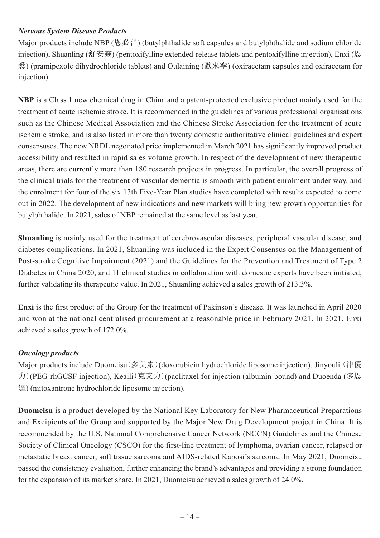## *Nervous System Disease Products*

Major products include NBP (恩必普) (butylphthalide soft capsules and butylphthalide and sodium chloride injection), Shuanling (舒安靈) (pentoxifylline extended-release tablets and pentoxifylline injection), Enxi (恩 悉) (pramipexole dihydrochloride tablets) and Oulaining (歐來寧) (oxiracetam capsules and oxiracetam for injection).

**NBP** is a Class 1 new chemical drug in China and a patent-protected exclusive product mainly used for the treatment of acute ischemic stroke. It is recommended in the guidelines of various professional organisations such as the Chinese Medical Association and the Chinese Stroke Association for the treatment of acute ischemic stroke, and is also listed in more than twenty domestic authoritative clinical guidelines and expert consensuses. The new NRDL negotiated price implemented in March 2021 has significantly improved product accessibility and resulted in rapid sales volume growth. In respect of the development of new therapeutic areas, there are currently more than 180 research projects in progress. In particular, the overall progress of the clinical trials for the treatment of vascular dementia is smooth with patient enrolment under way, and the enrolment for four of the six 13th Five-Year Plan studies have completed with results expected to come out in 2022. The development of new indications and new markets will bring new growth opportunities for butylphthalide. In 2021, sales of NBP remained at the same level as last year.

**Shuanling** is mainly used for the treatment of cerebrovascular diseases, peripheral vascular disease, and diabetes complications. In 2021, Shuanling was included in the Expert Consensus on the Management of Post-stroke Cognitive Impairment (2021) and the Guidelines for the Prevention and Treatment of Type 2 Diabetes in China 2020, and 11 clinical studies in collaboration with domestic experts have been initiated, further validating its therapeutic value. In 2021, Shuanling achieved a sales growth of 213.3%.

**Enxi** is the first product of the Group for the treatment of Pakinson's disease. It was launched in April 2020 and won at the national centralised procurement at a reasonable price in February 2021. In 2021, Enxi achieved a sales growth of 172.0%.

## *Oncology products*

Major products include Duomeisu(多美素)(doxorubicin hydrochloride liposome injection), Jinyouli (津優 力)(PEG-rhGCSF injection), Keaili(克艾力)(paclitaxel for injection (albumin-bound) and Duoenda (多恩 達) (mitoxantrone hydrochloride liposome injection).

**Duomeisu** is a product developed by the National Key Laboratory for New Pharmaceutical Preparations and Excipients of the Group and supported by the Major New Drug Development project in China. It is recommended by the U.S. National Comprehensive Cancer Network (NCCN) Guidelines and the Chinese Society of Clinical Oncology (CSCO) for the first-line treatment of lymphoma, ovarian cancer, relapsed or metastatic breast cancer, soft tissue sarcoma and AIDS-related Kaposi's sarcoma. In May 2021, Duomeisu passed the consistency evaluation, further enhancing the brand's advantages and providing a strong foundation for the expansion of its market share. In 2021, Duomeisu achieved a sales growth of 24.0%.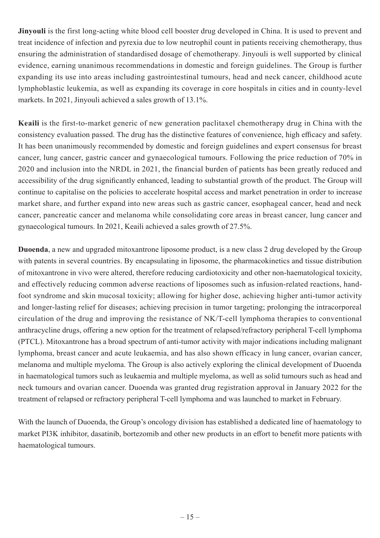**Jinyouli** is the first long-acting white blood cell booster drug developed in China. It is used to prevent and treat incidence of infection and pyrexia due to low neutrophil count in patients receiving chemotherapy, thus ensuring the administration of standardised dosage of chemotherapy. Jinyouli is well supported by clinical evidence, earning unanimous recommendations in domestic and foreign guidelines. The Group is further expanding its use into areas including gastrointestinal tumours, head and neck cancer, childhood acute lymphoblastic leukemia, as well as expanding its coverage in core hospitals in cities and in county-level markets. In 2021, Jinyouli achieved a sales growth of 13.1%.

**Keaili** is the first-to-market generic of new generation paclitaxel chemotherapy drug in China with the consistency evaluation passed. The drug has the distinctive features of convenience, high efficacy and safety. It has been unanimously recommended by domestic and foreign guidelines and expert consensus for breast cancer, lung cancer, gastric cancer and gynaecological tumours. Following the price reduction of 70% in 2020 and inclusion into the NRDL in 2021, the financial burden of patients has been greatly reduced and accessibility of the drug significantly enhanced, leading to substantial growth of the product. The Group will continue to capitalise on the policies to accelerate hospital access and market penetration in order to increase market share, and further expand into new areas such as gastric cancer, esophageal cancer, head and neck cancer, pancreatic cancer and melanoma while consolidating core areas in breast cancer, lung cancer and gynaecological tumours. In 2021, Keaili achieved a sales growth of 27.5%.

**Duoenda**, a new and upgraded mitoxantrone liposome product, is a new class 2 drug developed by the Group with patents in several countries. By encapsulating in liposome, the pharmacokinetics and tissue distribution of mitoxantrone in vivo were altered, therefore reducing cardiotoxicity and other non-haematological toxicity, and effectively reducing common adverse reactions of liposomes such as infusion-related reactions, handfoot syndrome and skin mucosal toxicity; allowing for higher dose, achieving higher anti-tumor activity and longer-lasting relief for diseases; achieving precision in tumor targeting; prolonging the intracorporeal circulation of the drug and improving the resistance of NK/T-cell lymphoma therapies to conventional anthracycline drugs, offering a new option for the treatment of relapsed/refractory peripheral T-cell lymphoma (PTCL). Mitoxantrone has a broad spectrum of anti-tumor activity with major indications including malignant lymphoma, breast cancer and acute leukaemia, and has also shown efficacy in lung cancer, ovarian cancer, melanoma and multiple myeloma. The Group is also actively exploring the clinical development of Duoenda in haematological tumors such as leukaemia and multiple myeloma, as well as solid tumours such as head and neck tumours and ovarian cancer. Duoenda was granted drug registration approval in January 2022 for the treatment of relapsed or refractory peripheral T-cell lymphoma and was launched to market in February.

With the launch of Duoenda, the Group's oncology division has established a dedicated line of haematology to market PI3K inhibitor, dasatinib, bortezomib and other new products in an effort to benefit more patients with haematological tumours.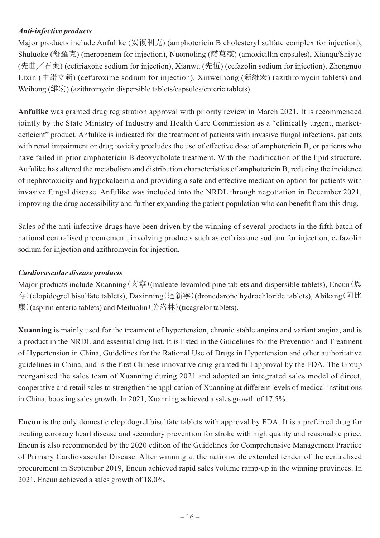## *Anti-infective products*

Major products include Anfulike (安復利克) (amphotericin B cholesteryl sulfate complex for injection), Shuluoke (舒羅克) (meropenem for injection), Nuomoling (諾莫靈) (amoxicillin capsules), Xianqu/Shiyao (先曲╱石藥) (ceftriaxone sodium for injection), Xianwu (先伍) (cefazolin sodium for injection), Zhongnuo Lixin (中諾立新) (cefuroxime sodium for injection), Xinweihong (新維宏) (azithromycin tablets) and Weihong (維宏) (azithromycin dispersible tablets/capsules/enteric tablets).

**Anfulike** was granted drug registration approval with priority review in March 2021. It is recommended jointly by the State Ministry of Industry and Health Care Commission as a "clinically urgent, marketdeficient" product. Anfulike is indicated for the treatment of patients with invasive fungal infections, patients with renal impairment or drug toxicity precludes the use of effective dose of amphotericin B, or patients who have failed in prior amphotericin B deoxycholate treatment. With the modification of the lipid structure, Aufulike has altered the metabolism and distribution characteristics of amphotericin B, reducing the incidence of nephrotoxicity and hypokalaemia and providing a safe and effective medication option for patients with invasive fungal disease. Anfulike was included into the NRDL through negotiation in December 2021, improving the drug accessibility and further expanding the patient population who can benefit from this drug.

Sales of the anti-infective drugs have been driven by the winning of several products in the fifth batch of national centralised procurement, involving products such as ceftriaxone sodium for injection, cefazolin sodium for injection and azithromycin for injection.

## *Cardiovascular disease products*

Major products include Xuanning(玄寧)(maleate levamlodipine tablets and dispersible tablets), Encun(恩 存)(clopidogrel bisulfate tablets), Daxinning(達新寧)(dronedarone hydrochloride tablets), Abikang(阿比 康)(aspirin enteric tablets) and Meiluolin(美洛林)(ticagrelor tablets).

**Xuanning** is mainly used for the treatment of hypertension, chronic stable angina and variant angina, and is a product in the NRDL and essential drug list. It is listed in the Guidelines for the Prevention and Treatment of Hypertension in China, Guidelines for the Rational Use of Drugs in Hypertension and other authoritative guidelines in China, and is the first Chinese innovative drug granted full approval by the FDA. The Group reorganised the sales team of Xuanning during 2021 and adopted an integrated sales model of direct, cooperative and retail sales to strengthen the application of Xuanning at different levels of medical institutions in China, boosting sales growth. In 2021, Xuanning achieved a sales growth of 17.5%.

**Encun** is the only domestic clopidogrel bisulfate tablets with approval by FDA. It is a preferred drug for treating coronary heart disease and secondary prevention for stroke with high quality and reasonable price. Encun is also recommended by the 2020 edition of the Guidelines for Comprehensive Management Practice of Primary Cardiovascular Disease. After winning at the nationwide extended tender of the centralised procurement in September 2019, Encun achieved rapid sales volume ramp-up in the winning provinces. In 2021, Encun achieved a sales growth of 18.0%.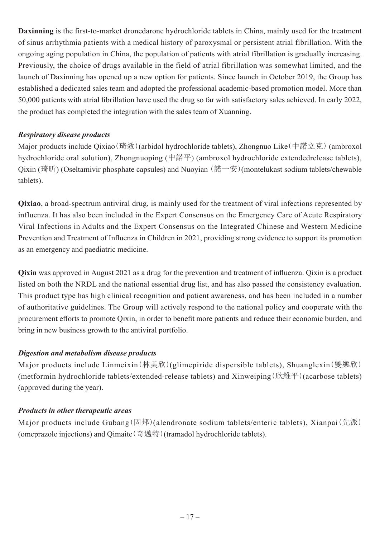**Daxinning** is the first-to-market dronedarone hydrochloride tablets in China, mainly used for the treatment of sinus arrhythmia patients with a medical history of paroxysmal or persistent atrial fibrillation. With the ongoing aging population in China, the population of patients with atrial fibrillation is gradually increasing. Previously, the choice of drugs available in the field of atrial fibrillation was somewhat limited, and the launch of Daxinning has opened up a new option for patients. Since launch in October 2019, the Group has established a dedicated sales team and adopted the professional academic-based promotion model. More than 50,000 patients with atrial fibrillation have used the drug so far with satisfactory sales achieved. In early 2022, the product has completed the integration with the sales team of Xuanning.

## *Respiratory disease products*

Major products include Qixiao(琦效)(arbidol hydrochloride tablets), Zhongnuo Like(中諾立克) (ambroxol hydrochloride oral solution), Zhongnuoping (中諾平) (ambroxol hydrochloride extendedrelease tablets), Qixin (琦昕) (Oseltamivir phosphate capsules) and Nuoyian (諾一安)(montelukast sodium tablets/chewable tablets).

**Qixiao**, a broad-spectrum antiviral drug, is mainly used for the treatment of viral infections represented by influenza. It has also been included in the Expert Consensus on the Emergency Care of Acute Respiratory Viral Infections in Adults and the Expert Consensus on the Integrated Chinese and Western Medicine Prevention and Treatment of Influenza in Children in 2021, providing strong evidence to support its promotion as an emergency and paediatric medicine.

**Qixin** was approved in August 2021 as a drug for the prevention and treatment of influenza. Qixin is a product listed on both the NRDL and the national essential drug list, and has also passed the consistency evaluation. This product type has high clinical recognition and patient awareness, and has been included in a number of authoritative guidelines. The Group will actively respond to the national policy and cooperate with the procurement efforts to promote Qixin, in order to benefit more patients and reduce their economic burden, and bring in new business growth to the antiviral portfolio.

## *Digestion and metabolism disease products*

Major products include Linmeixin(林美欣)(glimepiride dispersible tablets), Shuanglexin(雙樂欣) (metformin hydrochloride tablets/extended-release tablets) and Xinweiping(欣維平)(acarbose tablets) (approved during the year).

## *Products in other therapeutic areas*

Major products include Gubang(固邦)(alendronate sodium tablets/enteric tablets), Xianpai(先派) (omeprazole injections) and Qimaite(奇邁特)(tramadol hydrochloride tablets).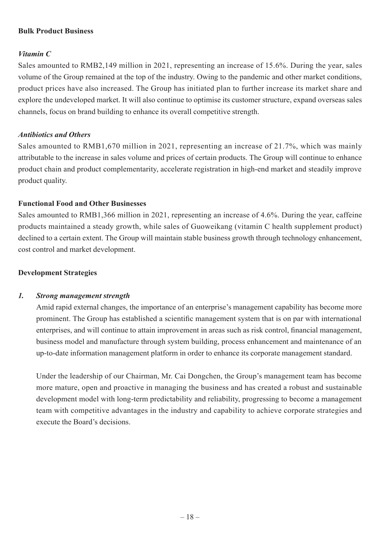## **Bulk Product Business**

## *Vitamin C*

Sales amounted to RMB2,149 million in 2021, representing an increase of 15.6%. During the year, sales volume of the Group remained at the top of the industry. Owing to the pandemic and other market conditions, product prices have also increased. The Group has initiated plan to further increase its market share and explore the undeveloped market. It will also continue to optimise its customer structure, expand overseas sales channels, focus on brand building to enhance its overall competitive strength.

### *Antibiotics and Others*

Sales amounted to RMB1,670 million in 2021, representing an increase of 21.7%, which was mainly attributable to the increase in sales volume and prices of certain products. The Group will continue to enhance product chain and product complementarity, accelerate registration in high-end market and steadily improve product quality.

## **Functional Food and Other Businesses**

Sales amounted to RMB1,366 million in 2021, representing an increase of 4.6%. During the year, caffeine products maintained a steady growth, while sales of Guoweikang (vitamin C health supplement product) declined to a certain extent. The Group will maintain stable business growth through technology enhancement, cost control and market development.

## **Development Strategies**

## *1. Strong management strength*

Amid rapid external changes, the importance of an enterprise's management capability has become more prominent. The Group has established a scientific management system that is on par with international enterprises, and will continue to attain improvement in areas such as risk control, financial management, business model and manufacture through system building, process enhancement and maintenance of an up-to-date information management platform in order to enhance its corporate management standard.

Under the leadership of our Chairman, Mr. Cai Dongchen, the Group's management team has become more mature, open and proactive in managing the business and has created a robust and sustainable development model with long-term predictability and reliability, progressing to become a management team with competitive advantages in the industry and capability to achieve corporate strategies and execute the Board's decisions.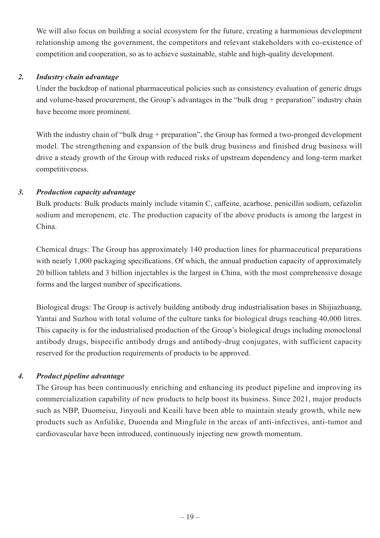We will also focus on building a social ecosystem for the future, creating a harmonious development relationship among the government, the competitors and relevant stakeholders with co-existence of competition and cooperation, so as to achieve sustainable, stable and high-quality development.

## *2. Industry chain advantage*

Under the backdrop of national pharmaceutical policies such as consistency evaluation of generic drugs and volume-based procurement, the Group's advantages in the "bulk drug + preparation" industry chain have become more prominent.

With the industry chain of "bulk drug + preparation", the Group has formed a two-pronged development model. The strengthening and expansion of the bulk drug business and finished drug business will drive a steady growth of the Group with reduced risks of upstream dependency and long-term market competitiveness.

## *3. Production capacity advantage*

Bulk products: Bulk products mainly include vitamin C, caffeine, acarbose, penicillin sodium, cefazolin sodium and meropenem, etc. The production capacity of the above products is among the largest in China.

Chemical drugs: The Group has approximately 140 production lines for pharmaceutical preparations with nearly 1,000 packaging specifications. Of which, the annual production capacity of approximately 20 billion tablets and 3 billion injectables is the largest in China, with the most comprehensive dosage forms and the largest number of specifications.

Biological drugs: The Group is actively building antibody drug industrialisation bases in Shijiazhuang, Yantai and Suzhou with total volume of the culture tanks for biological drugs reaching 40,000 litres. This capacity is for the industrialised production of the Group's biological drugs including monoclonal antibody drugs, bispecific antibody drugs and antibody-drug conjugates, with sufficient capacity reserved for the production requirements of products to be approved.

## *4. Product pipeline advantage*

The Group has been continuously enriching and enhancing its product pipeline and improving its commercialization capability of new products to help boost its business. Since 2021, major products such as NBP, Duomeisu, Jinyouli and Keaili have been able to maintain steady growth, while new products such as Anfulike, Duoenda and Mingfule in the areas of anti-infectives, anti-tumor and cardiovascular have been introduced, continuously injecting new growth momentum.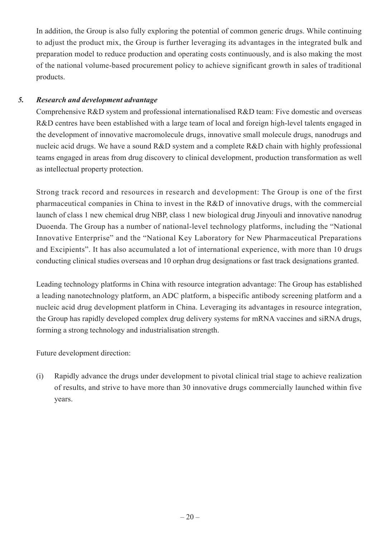In addition, the Group is also fully exploring the potential of common generic drugs. While continuing to adjust the product mix, the Group is further leveraging its advantages in the integrated bulk and preparation model to reduce production and operating costs continuously, and is also making the most of the national volume-based procurement policy to achieve significant growth in sales of traditional products.

## *5. Research and development advantage*

Comprehensive R&D system and professional internationalised R&D team: Five domestic and overseas R&D centres have been established with a large team of local and foreign high-level talents engaged in the development of innovative macromolecule drugs, innovative small molecule drugs, nanodrugs and nucleic acid drugs. We have a sound R&D system and a complete R&D chain with highly professional teams engaged in areas from drug discovery to clinical development, production transformation as well as intellectual property protection.

Strong track record and resources in research and development: The Group is one of the first pharmaceutical companies in China to invest in the R&D of innovative drugs, with the commercial launch of class 1 new chemical drug NBP, class 1 new biological drug Jinyouli and innovative nanodrug Duoenda. The Group has a number of national-level technology platforms, including the "National Innovative Enterprise" and the "National Key Laboratory for New Pharmaceutical Preparations and Excipients". It has also accumulated a lot of international experience, with more than 10 drugs conducting clinical studies overseas and 10 orphan drug designations or fast track designations granted.

Leading technology platforms in China with resource integration advantage: The Group has established a leading nanotechnology platform, an ADC platform, a bispecific antibody screening platform and a nucleic acid drug development platform in China. Leveraging its advantages in resource integration, the Group has rapidly developed complex drug delivery systems for mRNA vaccines and siRNA drugs, forming a strong technology and industrialisation strength.

Future development direction:

(i) Rapidly advance the drugs under development to pivotal clinical trial stage to achieve realization of results, and strive to have more than 30 innovative drugs commercially launched within five years.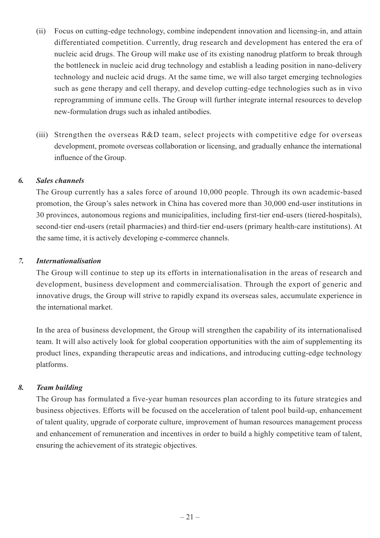- (ii) Focus on cutting-edge technology, combine independent innovation and licensing-in, and attain differentiated competition. Currently, drug research and development has entered the era of nucleic acid drugs. The Group will make use of its existing nanodrug platform to break through the bottleneck in nucleic acid drug technology and establish a leading position in nano-delivery technology and nucleic acid drugs. At the same time, we will also target emerging technologies such as gene therapy and cell therapy, and develop cutting-edge technologies such as in vivo reprogramming of immune cells. The Group will further integrate internal resources to develop new-formulation drugs such as inhaled antibodies.
- (iii) Strengthen the overseas R&D team, select projects with competitive edge for overseas development, promote overseas collaboration or licensing, and gradually enhance the international influence of the Group.

## *6. Sales channels*

The Group currently has a sales force of around 10,000 people. Through its own academic-based promotion, the Group's sales network in China has covered more than 30,000 end-user institutions in 30 provinces, autonomous regions and municipalities, including first-tier end-users (tiered-hospitals), second-tier end-users (retail pharmacies) and third-tier end-users (primary health-care institutions). At the same time, it is actively developing e-commerce channels.

#### *7. Internationalisation*

The Group will continue to step up its efforts in internationalisation in the areas of research and development, business development and commercialisation. Through the export of generic and innovative drugs, the Group will strive to rapidly expand its overseas sales, accumulate experience in the international market.

In the area of business development, the Group will strengthen the capability of its internationalised team. It will also actively look for global cooperation opportunities with the aim of supplementing its product lines, expanding therapeutic areas and indications, and introducing cutting-edge technology platforms.

## *8. Team building*

The Group has formulated a five-year human resources plan according to its future strategies and business objectives. Efforts will be focused on the acceleration of talent pool build-up, enhancement of talent quality, upgrade of corporate culture, improvement of human resources management process and enhancement of remuneration and incentives in order to build a highly competitive team of talent, ensuring the achievement of its strategic objectives.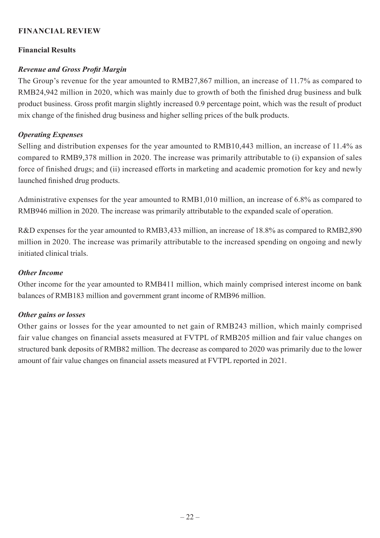## **FINANCIAL REVIEW**

## **Financial Results**

## *Revenue and Gross Profit Margin*

The Group's revenue for the year amounted to RMB27,867 million, an increase of 11.7% as compared to RMB24,942 million in 2020, which was mainly due to growth of both the finished drug business and bulk product business. Gross profit margin slightly increased 0.9 percentage point, which was the result of product mix change of the finished drug business and higher selling prices of the bulk products.

## *Operating Expenses*

Selling and distribution expenses for the year amounted to RMB10,443 million, an increase of 11.4% as compared to RMB9,378 million in 2020. The increase was primarily attributable to (i) expansion of sales force of finished drugs; and (ii) increased efforts in marketing and academic promotion for key and newly launched finished drug products.

Administrative expenses for the year amounted to RMB1,010 million, an increase of 6.8% as compared to RMB946 million in 2020. The increase was primarily attributable to the expanded scale of operation.

R&D expenses for the year amounted to RMB3,433 million, an increase of 18.8% as compared to RMB2,890 million in 2020. The increase was primarily attributable to the increased spending on ongoing and newly initiated clinical trials.

## *Other Income*

Other income for the year amounted to RMB411 million, which mainly comprised interest income on bank balances of RMB183 million and government grant income of RMB96 million.

## *Other gains or losses*

Other gains or losses for the year amounted to net gain of RMB243 million, which mainly comprised fair value changes on financial assets measured at FVTPL of RMB205 million and fair value changes on structured bank deposits of RMB82 million. The decrease as compared to 2020 was primarily due to the lower amount of fair value changes on financial assets measured at FVTPL reported in 2021.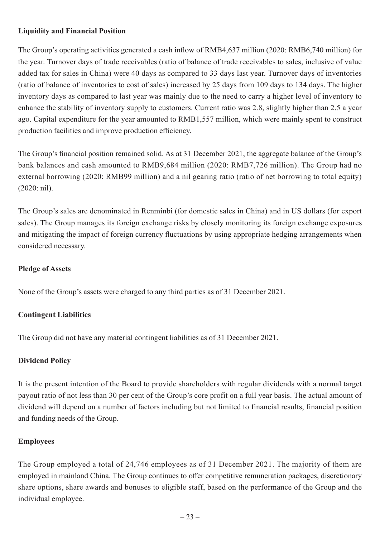## **Liquidity and Financial Position**

The Group's operating activities generated a cash inflow of RMB4,637 million (2020: RMB6,740 million) for the year. Turnover days of trade receivables (ratio of balance of trade receivables to sales, inclusive of value added tax for sales in China) were 40 days as compared to 33 days last year. Turnover days of inventories (ratio of balance of inventories to cost of sales) increased by 25 days from 109 days to 134 days. The higher inventory days as compared to last year was mainly due to the need to carry a higher level of inventory to enhance the stability of inventory supply to customers. Current ratio was 2.8, slightly higher than 2.5 a year ago. Capital expenditure for the year amounted to RMB1,557 million, which were mainly spent to construct production facilities and improve production efficiency.

The Group's financial position remained solid. As at 31 December 2021, the aggregate balance of the Group's bank balances and cash amounted to RMB9,684 million (2020: RMB7,726 million). The Group had no external borrowing (2020: RMB99 million) and a nil gearing ratio (ratio of net borrowing to total equity) (2020: nil).

The Group's sales are denominated in Renminbi (for domestic sales in China) and in US dollars (for export sales). The Group manages its foreign exchange risks by closely monitoring its foreign exchange exposures and mitigating the impact of foreign currency fluctuations by using appropriate hedging arrangements when considered necessary.

## **Pledge of Assets**

None of the Group's assets were charged to any third parties as of 31 December 2021.

## **Contingent Liabilities**

The Group did not have any material contingent liabilities as of 31 December 2021.

## **Dividend Policy**

It is the present intention of the Board to provide shareholders with regular dividends with a normal target payout ratio of not less than 30 per cent of the Group's core profit on a full year basis. The actual amount of dividend will depend on a number of factors including but not limited to financial results, financial position and funding needs of the Group.

## **Employees**

The Group employed a total of 24,746 employees as of 31 December 2021. The majority of them are employed in mainland China. The Group continues to offer competitive remuneration packages, discretionary share options, share awards and bonuses to eligible staff, based on the performance of the Group and the individual employee.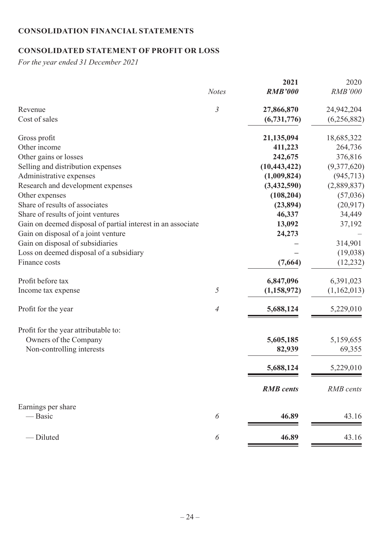# **CONSOLIDATION FINANCIAL STATEMENTS**

# **CONSOLIDATED STATEMENT OF PROFIT OR LOSS**

*For the year ended 31 December 2021*

| $\mathfrak{Z}$<br>27,866,870<br>24,942,204<br>Revenue<br>Cost of sales<br>(6,731,776)<br>21,135,094<br>18,685,322<br>Gross profit<br>Other income<br>411,223<br>Other gains or losses<br>242,675<br>376,816<br>Selling and distribution expenses<br>(10, 443, 422)<br>Administrative expenses<br>(1,009,824)<br>Research and development expenses<br>(3,432,590)<br>(108, 204)<br>Other expenses<br>Share of results of associates<br>(23, 894)<br>Share of results of joint ventures<br>46,337<br>Gain on deemed disposal of partial interest in an associate<br>13,092<br>37,192<br>Gain on disposal of a joint venture<br>24,273<br>Gain on disposal of subsidiaries<br>314,901<br>Loss on deemed disposal of a subsidiary<br>(19,038)<br>(7,664)<br>Finance costs<br>Profit before tax<br>6,847,096<br>6,391,023<br>5<br>(1, 158, 972)<br>Income tax expense<br>5,688,124<br>5,229,010<br>Profit for the year<br>4<br>Profit for the year attributable to:<br>Owners of the Company<br>5,605,185<br>5,159,655<br>Non-controlling interests<br>69,355<br>82,939<br>5,229,010<br>5,688,124<br><b>RMB</b> cents<br><b>RMB</b> cents<br>Earnings per share<br>— Basic<br>6<br>46.89<br>43.16<br>-Diluted<br>46.89<br>43.16<br>6 |              | 2021           | 2020           |
|---------------------------------------------------------------------------------------------------------------------------------------------------------------------------------------------------------------------------------------------------------------------------------------------------------------------------------------------------------------------------------------------------------------------------------------------------------------------------------------------------------------------------------------------------------------------------------------------------------------------------------------------------------------------------------------------------------------------------------------------------------------------------------------------------------------------------------------------------------------------------------------------------------------------------------------------------------------------------------------------------------------------------------------------------------------------------------------------------------------------------------------------------------------------------------------------------------------------------------|--------------|----------------|----------------|
|                                                                                                                                                                                                                                                                                                                                                                                                                                                                                                                                                                                                                                                                                                                                                                                                                                                                                                                                                                                                                                                                                                                                                                                                                                 | <b>Notes</b> | <b>RMB'000</b> | <b>RMB'000</b> |
|                                                                                                                                                                                                                                                                                                                                                                                                                                                                                                                                                                                                                                                                                                                                                                                                                                                                                                                                                                                                                                                                                                                                                                                                                                 |              |                |                |
|                                                                                                                                                                                                                                                                                                                                                                                                                                                                                                                                                                                                                                                                                                                                                                                                                                                                                                                                                                                                                                                                                                                                                                                                                                 |              |                | (6,256,882)    |
|                                                                                                                                                                                                                                                                                                                                                                                                                                                                                                                                                                                                                                                                                                                                                                                                                                                                                                                                                                                                                                                                                                                                                                                                                                 |              |                |                |
|                                                                                                                                                                                                                                                                                                                                                                                                                                                                                                                                                                                                                                                                                                                                                                                                                                                                                                                                                                                                                                                                                                                                                                                                                                 |              |                | 264,736        |
|                                                                                                                                                                                                                                                                                                                                                                                                                                                                                                                                                                                                                                                                                                                                                                                                                                                                                                                                                                                                                                                                                                                                                                                                                                 |              |                |                |
|                                                                                                                                                                                                                                                                                                                                                                                                                                                                                                                                                                                                                                                                                                                                                                                                                                                                                                                                                                                                                                                                                                                                                                                                                                 |              |                | (9,377,620)    |
|                                                                                                                                                                                                                                                                                                                                                                                                                                                                                                                                                                                                                                                                                                                                                                                                                                                                                                                                                                                                                                                                                                                                                                                                                                 |              |                | (945, 713)     |
|                                                                                                                                                                                                                                                                                                                                                                                                                                                                                                                                                                                                                                                                                                                                                                                                                                                                                                                                                                                                                                                                                                                                                                                                                                 |              |                | (2,889,837)    |
|                                                                                                                                                                                                                                                                                                                                                                                                                                                                                                                                                                                                                                                                                                                                                                                                                                                                                                                                                                                                                                                                                                                                                                                                                                 |              |                | (57,036)       |
|                                                                                                                                                                                                                                                                                                                                                                                                                                                                                                                                                                                                                                                                                                                                                                                                                                                                                                                                                                                                                                                                                                                                                                                                                                 |              |                | (20, 917)      |
|                                                                                                                                                                                                                                                                                                                                                                                                                                                                                                                                                                                                                                                                                                                                                                                                                                                                                                                                                                                                                                                                                                                                                                                                                                 |              |                | 34,449         |
|                                                                                                                                                                                                                                                                                                                                                                                                                                                                                                                                                                                                                                                                                                                                                                                                                                                                                                                                                                                                                                                                                                                                                                                                                                 |              |                |                |
|                                                                                                                                                                                                                                                                                                                                                                                                                                                                                                                                                                                                                                                                                                                                                                                                                                                                                                                                                                                                                                                                                                                                                                                                                                 |              |                |                |
|                                                                                                                                                                                                                                                                                                                                                                                                                                                                                                                                                                                                                                                                                                                                                                                                                                                                                                                                                                                                                                                                                                                                                                                                                                 |              |                |                |
|                                                                                                                                                                                                                                                                                                                                                                                                                                                                                                                                                                                                                                                                                                                                                                                                                                                                                                                                                                                                                                                                                                                                                                                                                                 |              |                |                |
|                                                                                                                                                                                                                                                                                                                                                                                                                                                                                                                                                                                                                                                                                                                                                                                                                                                                                                                                                                                                                                                                                                                                                                                                                                 |              |                | (12, 232)      |
|                                                                                                                                                                                                                                                                                                                                                                                                                                                                                                                                                                                                                                                                                                                                                                                                                                                                                                                                                                                                                                                                                                                                                                                                                                 |              |                |                |
|                                                                                                                                                                                                                                                                                                                                                                                                                                                                                                                                                                                                                                                                                                                                                                                                                                                                                                                                                                                                                                                                                                                                                                                                                                 |              |                | (1,162,013)    |
|                                                                                                                                                                                                                                                                                                                                                                                                                                                                                                                                                                                                                                                                                                                                                                                                                                                                                                                                                                                                                                                                                                                                                                                                                                 |              |                |                |
|                                                                                                                                                                                                                                                                                                                                                                                                                                                                                                                                                                                                                                                                                                                                                                                                                                                                                                                                                                                                                                                                                                                                                                                                                                 |              |                |                |
|                                                                                                                                                                                                                                                                                                                                                                                                                                                                                                                                                                                                                                                                                                                                                                                                                                                                                                                                                                                                                                                                                                                                                                                                                                 |              |                |                |
|                                                                                                                                                                                                                                                                                                                                                                                                                                                                                                                                                                                                                                                                                                                                                                                                                                                                                                                                                                                                                                                                                                                                                                                                                                 |              |                |                |
|                                                                                                                                                                                                                                                                                                                                                                                                                                                                                                                                                                                                                                                                                                                                                                                                                                                                                                                                                                                                                                                                                                                                                                                                                                 |              |                |                |
|                                                                                                                                                                                                                                                                                                                                                                                                                                                                                                                                                                                                                                                                                                                                                                                                                                                                                                                                                                                                                                                                                                                                                                                                                                 |              |                |                |
|                                                                                                                                                                                                                                                                                                                                                                                                                                                                                                                                                                                                                                                                                                                                                                                                                                                                                                                                                                                                                                                                                                                                                                                                                                 |              |                |                |
|                                                                                                                                                                                                                                                                                                                                                                                                                                                                                                                                                                                                                                                                                                                                                                                                                                                                                                                                                                                                                                                                                                                                                                                                                                 |              |                |                |
|                                                                                                                                                                                                                                                                                                                                                                                                                                                                                                                                                                                                                                                                                                                                                                                                                                                                                                                                                                                                                                                                                                                                                                                                                                 |              |                |                |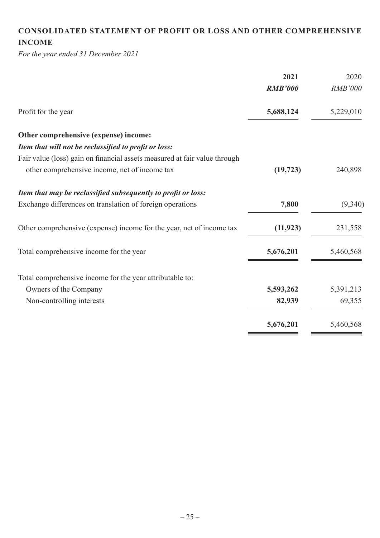# **CONSOLIDATED STATEMENT OF PROFIT OR LOSS AND OTHER COMPREHENSIVE INCOME**

*For the year ended 31 December 2021*

|                                                                           | 2021           | 2020           |
|---------------------------------------------------------------------------|----------------|----------------|
|                                                                           | <b>RMB'000</b> | <b>RMB'000</b> |
| Profit for the year                                                       | 5,688,124      | 5,229,010      |
| Other comprehensive (expense) income:                                     |                |                |
| Item that will not be reclassified to profit or loss:                     |                |                |
| Fair value (loss) gain on financial assets measured at fair value through |                |                |
| other comprehensive income, net of income tax                             | (19, 723)      | 240,898        |
| Item that may be reclassified subsequently to profit or loss:             |                |                |
| Exchange differences on translation of foreign operations                 | 7,800          | (9,340)        |
| Other comprehensive (expense) income for the year, net of income tax      | (11, 923)      | 231,558        |
| Total comprehensive income for the year                                   | 5,676,201      | 5,460,568      |
| Total comprehensive income for the year attributable to:                  |                |                |
| Owners of the Company                                                     | 5,593,262      | 5,391,213      |
| Non-controlling interests                                                 | 82,939         | 69,355         |
|                                                                           | 5,676,201      | 5,460,568      |
|                                                                           |                |                |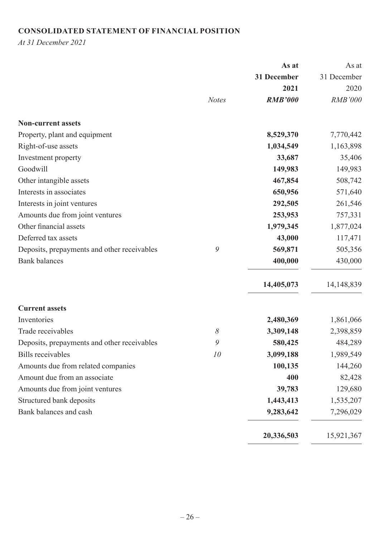# **CONSOLIDATED STATEMENT OF FINANCIAL POSITION**

*At 31 December 2021*

|                                             |              | As at          | As at          |
|---------------------------------------------|--------------|----------------|----------------|
|                                             |              | 31 December    | 31 December    |
|                                             |              | 2021           | 2020           |
|                                             | <b>Notes</b> | <b>RMB'000</b> | <b>RMB'000</b> |
| <b>Non-current assets</b>                   |              |                |                |
| Property, plant and equipment               |              | 8,529,370      | 7,770,442      |
| Right-of-use assets                         |              | 1,034,549      | 1,163,898      |
| Investment property                         |              | 33,687         | 35,406         |
| Goodwill                                    |              | 149,983        | 149,983        |
| Other intangible assets                     |              | 467,854        | 508,742        |
| Interests in associates                     |              | 650,956        | 571,640        |
| Interests in joint ventures                 |              | 292,505        | 261,546        |
| Amounts due from joint ventures             |              | 253,953        | 757,331        |
| Other financial assets                      |              | 1,979,345      | 1,877,024      |
| Deferred tax assets                         |              | 43,000         | 117,471        |
| Deposits, prepayments and other receivables | 9            | 569,871        | 505,356        |
| <b>Bank</b> balances                        |              | 400,000        | 430,000        |
|                                             |              | 14,405,073     | 14,148,839     |
| <b>Current assets</b>                       |              |                |                |
| Inventories                                 |              | 2,480,369      | 1,861,066      |
| Trade receivables                           | $\delta$     | 3,309,148      | 2,398,859      |
| Deposits, prepayments and other receivables | 9            | 580,425        | 484,289        |
| <b>Bills</b> receivables                    | 10           | 3,099,188      | 1,989,549      |
| Amounts due from related companies          |              | 100,135        | 144,260        |
| Amount due from an associate                |              | 400            | 82,428         |
| Amounts due from joint ventures             |              | 39,783         | 129,680        |
| Structured bank deposits                    |              | 1,443,413      | 1,535,207      |
| Bank balances and cash                      |              | 9,283,642      | 7,296,029      |
|                                             |              | 20,336,503     | 15,921,367     |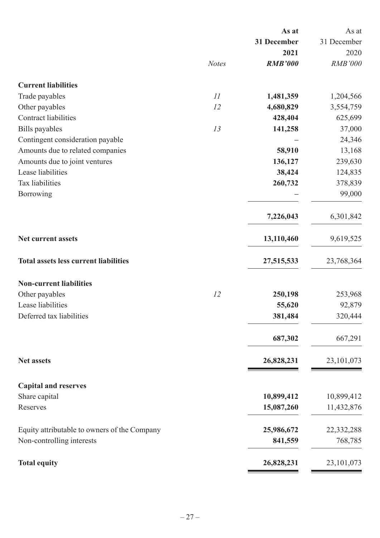|                                              |              | As at          | As at          |
|----------------------------------------------|--------------|----------------|----------------|
|                                              |              | 31 December    | 31 December    |
|                                              |              | 2021           | 2020           |
|                                              | <b>Notes</b> | <b>RMB'000</b> | <b>RMB'000</b> |
| <b>Current liabilities</b>                   |              |                |                |
| Trade payables                               | II           | 1,481,359      | 1,204,566      |
| Other payables                               | 12           | 4,680,829      | 3,554,759      |
| <b>Contract liabilities</b>                  |              | 428,404        | 625,699        |
| Bills payables                               | 13           | 141,258        | 37,000         |
| Contingent consideration payable             |              |                | 24,346         |
| Amounts due to related companies             |              | 58,910         | 13,168         |
| Amounts due to joint ventures                |              | 136,127        | 239,630        |
| Lease liabilities                            |              | 38,424         | 124,835        |
| Tax liabilities                              |              | 260,732        | 378,839        |
| Borrowing                                    |              |                | 99,000         |
|                                              |              | 7,226,043      | 6,301,842      |
| Net current assets                           |              | 13,110,460     | 9,619,525      |
| <b>Total assets less current liabilities</b> |              | 27,515,533     | 23,768,364     |
| <b>Non-current liabilities</b>               |              |                |                |
| Other payables                               | 12           | 250,198        | 253,968        |
| Lease liabilities                            |              | 55,620         | 92,879         |
| Deferred tax liabilities                     |              | 381,484        | 320,444        |
|                                              |              | 687,302        | 667,291        |
| <b>Net assets</b>                            |              | 26,828,231     | 23, 101, 073   |
| <b>Capital and reserves</b>                  |              |                |                |
| Share capital                                |              | 10,899,412     | 10,899,412     |
| Reserves                                     |              | 15,087,260     | 11,432,876     |
|                                              |              |                |                |
| Equity attributable to owners of the Company |              | 25,986,672     | 22,332,288     |
| Non-controlling interests                    |              | 841,559        | 768,785        |
| <b>Total equity</b>                          |              | 26,828,231     | 23,101,073     |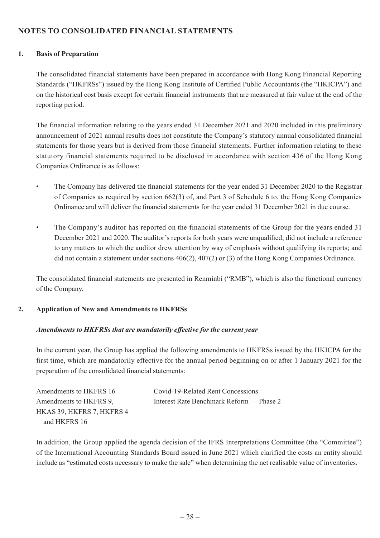## **NOTES TO CONSOLIDATED FINANCIAL STATEMENTS**

#### **1. Basis of Preparation**

The consolidated financial statements have been prepared in accordance with Hong Kong Financial Reporting Standards ("HKFRSs") issued by the Hong Kong Institute of Certified Public Accountants (the "HKICPA") and on the historical cost basis except for certain financial instruments that are measured at fair value at the end of the reporting period.

The financial information relating to the years ended 31 December 2021 and 2020 included in this preliminary announcement of 2021 annual results does not constitute the Company's statutory annual consolidated financial statements for those years but is derived from those financial statements. Further information relating to these statutory financial statements required to be disclosed in accordance with section 436 of the Hong Kong Companies Ordinance is as follows:

- The Company has delivered the financial statements for the year ended 31 December 2020 to the Registrar of Companies as required by section 662(3) of, and Part 3 of Schedule 6 to, the Hong Kong Companies Ordinance and will deliver the financial statements for the year ended 31 December 2021 in due course.
- The Company's auditor has reported on the financial statements of the Group for the years ended 31 December 2021 and 2020. The auditor's reports for both years were unqualified; did not include a reference to any matters to which the auditor drew attention by way of emphasis without qualifying its reports; and did not contain a statement under sections 406(2), 407(2) or (3) of the Hong Kong Companies Ordinance.

The consolidated financial statements are presented in Renminbi ("RMB"), which is also the functional currency of the Company.

#### **2. Application of New and Amendments to HKFRSs**

#### *Amendments to HKFRSs that are mandatorily effective for the current year*

In the current year, the Group has applied the following amendments to HKFRSs issued by the HKICPA for the first time, which are mandatorily effective for the annual period beginning on or after 1 January 2021 for the preparation of the consolidated financial statements:

| Amendments to HKFRS 16    | Covid-19-Related Rent Concessions        |
|---------------------------|------------------------------------------|
| Amendments to HKFRS 9,    | Interest Rate Benchmark Reform — Phase 2 |
| HKAS 39, HKFRS 7, HKFRS 4 |                                          |
| and HKFRS 16              |                                          |

In addition, the Group applied the agenda decision of the IFRS Interpretations Committee (the "Committee") of the International Accounting Standards Board issued in June 2021 which clarified the costs an entity should include as "estimated costs necessary to make the sale" when determining the net realisable value of inventories.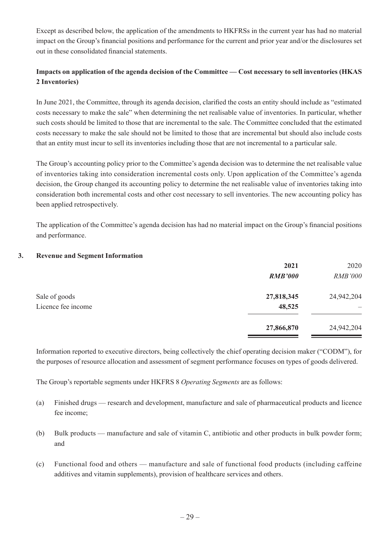Except as described below, the application of the amendments to HKFRSs in the current year has had no material impact on the Group's financial positions and performance for the current and prior year and/or the disclosures set out in these consolidated financial statements.

## **Impacts on application of the agenda decision of the Committee — Cost necessary to sell inventories (HKAS 2 Inventories)**

In June 2021, the Committee, through its agenda decision, clarified the costs an entity should include as "estimated costs necessary to make the sale" when determining the net realisable value of inventories. In particular, whether such costs should be limited to those that are incremental to the sale. The Committee concluded that the estimated costs necessary to make the sale should not be limited to those that are incremental but should also include costs that an entity must incur to sell its inventories including those that are not incremental to a particular sale.

The Group's accounting policy prior to the Committee's agenda decision was to determine the net realisable value of inventories taking into consideration incremental costs only. Upon application of the Committee's agenda decision, the Group changed its accounting policy to determine the net realisable value of inventories taking into consideration both incremental costs and other cost necessary to sell inventories. The new accounting policy has been applied retrospectively.

The application of the Committee's agenda decision has had no material impact on the Group's financial positions and performance.

#### **3. Revenue and Segment Information**

|                    | 2021           | 2020           |
|--------------------|----------------|----------------|
|                    | <b>RMB'000</b> | <b>RMB'000</b> |
| Sale of goods      | 27,818,345     | 24,942,204     |
| Licence fee income | 48,525         |                |
|                    | 27,866,870     | 24,942,204     |
|                    |                |                |

Information reported to executive directors, being collectively the chief operating decision maker ("CODM"), for the purposes of resource allocation and assessment of segment performance focuses on types of goods delivered.

The Group's reportable segments under HKFRS 8 *Operating Segments* are as follows:

- (a) Finished drugs research and development, manufacture and sale of pharmaceutical products and licence fee income;
- (b) Bulk products manufacture and sale of vitamin C, antibiotic and other products in bulk powder form; and
- (c) Functional food and others manufacture and sale of functional food products (including caffeine additives and vitamin supplements), provision of healthcare services and others.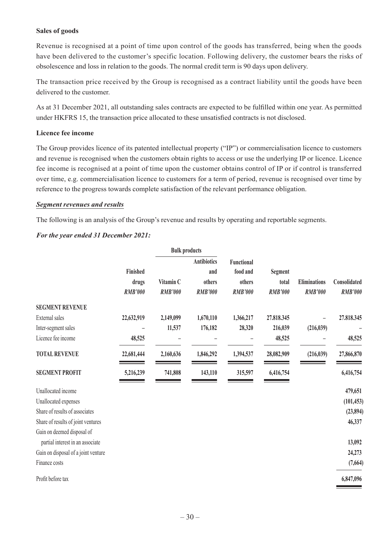#### **Sales of goods**

Revenue is recognised at a point of time upon control of the goods has transferred, being when the goods have been delivered to the customer's specific location. Following delivery, the customer bears the risks of obsolescence and loss in relation to the goods. The normal credit term is 90 days upon delivery.

The transaction price received by the Group is recognised as a contract liability until the goods have been delivered to the customer.

As at 31 December 2021, all outstanding sales contracts are expected to be fulfilled within one year. As permitted under HKFRS 15, the transaction price allocated to these unsatisfied contracts is not disclosed.

#### **Licence fee income**

The Group provides licence of its patented intellectual property ("IP") or commercialisation licence to customers and revenue is recognised when the customers obtain rights to access or use the underlying IP or licence. Licence fee income is recognised at a point of time upon the customer obtains control of IP or if control is transferred over time, e.g. commercialisation licence to customers for a term of period, revenue is recognised over time by reference to the progress towards complete satisfaction of the relevant performance obligation.

#### *Segment revenues and results*

The following is an analysis of the Group's revenue and results by operating and reportable segments.

#### *For the year ended 31 December 2021:*

|                                     |                          | <b>Bulk products</b> |                                     |                                         |                         |                     |                |
|-------------------------------------|--------------------------|----------------------|-------------------------------------|-----------------------------------------|-------------------------|---------------------|----------------|
|                                     | <b>Finished</b><br>drugs | Vitamin C            | <b>Antibiotics</b><br>and<br>others | <b>Functional</b><br>food and<br>others | <b>Segment</b><br>total | <b>Eliminations</b> | Consolidated   |
|                                     | <b>RMB'000</b>           | <b>RMB'000</b>       | <b>RMB'000</b>                      | <b>RMB'000</b>                          | <b>RMB'000</b>          | <b>RMB'000</b>      | <b>RMB'000</b> |
| <b>SEGMENT REVENUE</b>              |                          |                      |                                     |                                         |                         |                     |                |
| External sales                      | 22,632,919               | 2,149,099            | 1,670,110                           | 1,366,217                               | 27.818.345              |                     | 27.818.345     |
| Inter-segment sales                 |                          | 11,537               | 176,182                             | 28,320                                  | 216,039                 | (216,039)           |                |
| Licence fee income                  | 48,525                   |                      |                                     |                                         | 48,525                  |                     | 48,525         |
| <b>TOTAL REVENUE</b>                | 22,681,444               | 2,160,636            | 1,846,292                           | 1,394,537                               | 28,082,909              | (216,039)           | 27,866,870     |
| <b>SEGMENT PROFIT</b>               | 5,216,239                | 741,808              | 143,110                             | 315,597                                 | 6,416,754               |                     | 6,416,754      |
| Unallocated income                  |                          |                      |                                     |                                         |                         |                     | 479,651        |
| Unallocated expenses                |                          |                      |                                     |                                         |                         |                     | (101, 453)     |
| Share of results of associates      |                          |                      |                                     |                                         |                         |                     | (23, 894)      |
| Share of results of joint ventures  |                          |                      |                                     |                                         |                         |                     | 46,337         |
| Gain on deemed disposal of          |                          |                      |                                     |                                         |                         |                     |                |
| partial interest in an associate    |                          |                      |                                     |                                         |                         |                     | 13,092         |
| Gain on disposal of a joint venture |                          |                      |                                     |                                         |                         |                     | 24,273         |
| Finance costs                       |                          |                      |                                     |                                         |                         |                     | (7, 664)       |
| Profit before tax                   |                          |                      |                                     |                                         |                         |                     | 6,847,096      |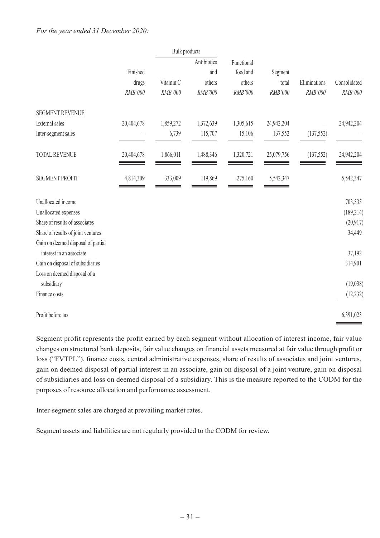|                                                                |            | <b>Bulk</b> products |             |            |            |              |              |
|----------------------------------------------------------------|------------|----------------------|-------------|------------|------------|--------------|--------------|
|                                                                |            |                      | Antibiotics | Functional |            |              |              |
|                                                                | Finished   |                      | and         | food and   | Segment    |              |              |
|                                                                | drugs      | Vitamin C            | others      | others     | total      | Eliminations | Consolidated |
|                                                                | RMB'000    | RMB'000              | RMB'000     | RMB'000    | RMB'000    | RMB'000      | RMB'000      |
| <b>SEGMENT REVENUE</b>                                         |            |                      |             |            |            |              |              |
| External sales                                                 | 20,404,678 | 1,859,272            | 1,372,639   | 1,305,615  | 24,942,204 |              | 24,942,204   |
| Inter-segment sales                                            |            | 6,739                | 115,707     | 15,106     | 137,552    | (137, 552)   |              |
| <b>TOTAL REVENUE</b>                                           | 20,404,678 | 1,866,011            | 1,488,346   | 1,320,721  | 25,079,756 | (137, 552)   | 24,942,204   |
| <b>SEGMENT PROFIT</b>                                          | 4,814,309  | 333,009              | 119,869     | 275,160    | 5,542,347  |              | 5,542,347    |
| Unallocated income                                             |            |                      |             |            |            |              | 703,535      |
| Unallocated expenses                                           |            |                      |             |            |            |              | (189, 214)   |
| Share of results of associates                                 |            |                      |             |            |            |              | (20, 917)    |
| Share of results of joint ventures                             |            |                      |             |            |            |              | 34,449       |
| Gain on deemed disposal of partial<br>interest in an associate |            |                      |             |            |            |              | 37,192       |
| Gain on disposal of subsidiaries                               |            |                      |             |            |            |              | 314,901      |
| Loss on deemed disposal of a                                   |            |                      |             |            |            |              |              |
| subsidiary                                                     |            |                      |             |            |            |              | (19,038)     |
| Finance costs                                                  |            |                      |             |            |            |              | (12, 232)    |
| Profit before tax                                              |            |                      |             |            |            |              | 6,391,023    |

Segment profit represents the profit earned by each segment without allocation of interest income, fair value changes on structured bank deposits, fair value changes on financial assets measured at fair value through profit or loss ("FVTPL"), finance costs, central administrative expenses, share of results of associates and joint ventures, gain on deemed disposal of partial interest in an associate, gain on disposal of a joint venture, gain on disposal of subsidiaries and loss on deemed disposal of a subsidiary. This is the measure reported to the CODM for the purposes of resource allocation and performance assessment.

Inter-segment sales are charged at prevailing market rates.

Segment assets and liabilities are not regularly provided to the CODM for review.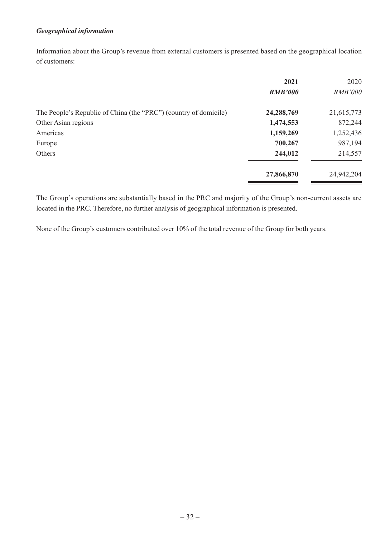#### *Geographical information*

Information about the Group's revenue from external customers is presented based on the geographical location of customers:

|                                                                  | 2021           | 2020           |
|------------------------------------------------------------------|----------------|----------------|
|                                                                  | <b>RMB'000</b> | <b>RMB'000</b> |
| The People's Republic of China (the "PRC") (country of domicile) | 24,288,769     | 21,615,773     |
| Other Asian regions                                              | 1,474,553      | 872,244        |
| Americas                                                         | 1,159,269      | 1,252,436      |
| Europe                                                           | 700,267        | 987,194        |
| Others                                                           | 244,012        | 214,557        |
|                                                                  | 27,866,870     | 24,942,204     |

The Group's operations are substantially based in the PRC and majority of the Group's non-current assets are located in the PRC. Therefore, no further analysis of geographical information is presented.

None of the Group's customers contributed over 10% of the total revenue of the Group for both years.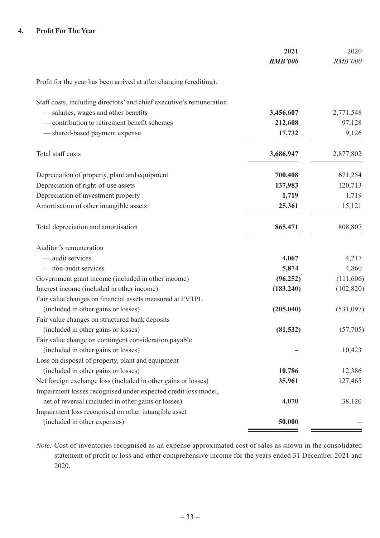#### **4. Profit For The Year**

|                                                                      | 2021<br><b>RMB'000</b> | 2020<br><b>RMB'000</b> |
|----------------------------------------------------------------------|------------------------|------------------------|
| Profit for the year has been arrived at after charging (crediting):  |                        |                        |
| Staff costs, including directors' and chief executive's remuneration |                        |                        |
| - salaries, wages and other benefits                                 | 3,456,607              | 2,771,548              |
| - contribution to retirement benefit schemes                         | 212,608                | 97,128                 |
| - shared-based payment expense                                       | 17,732                 | 9,126                  |
| Total staff costs                                                    | 3,686,947              | 2,877,802              |
| Depreciation of property, plant and equipment                        | 700,408                | 671,254                |
| Depreciation of right-of-use assets                                  | 137,983                | 120,713                |
| Depreciation of investment property                                  | 1,719                  | 1,719                  |
| Amortisation of other intangible assets                              | 25,361                 | 15,121                 |
| Total depreciation and amortisation                                  | 865,471                | 808,807                |
| Auditor's remuneration                                               |                        |                        |
| - audit services                                                     | 4,067                  | 4,217                  |
| - non-audit services                                                 | 5,874                  | 4,860                  |
| Government grant income (included in other income)                   | (96, 252)              | (111,606)              |
| Interest income (included in other income)                           | (183, 240)             | (102, 820)             |
| Fair value changes on financial assets measured at FVTPL             |                        |                        |
| (included in other gains or losses)                                  | (205, 040)             | (531,097)              |
| Fair value changes on structured bank deposits                       |                        |                        |
| (included in other gains or losses)                                  | (81, 532)              | (57,705)               |
| Fair value change on contingent consideration payable                |                        |                        |
| (included in other gains or losses)                                  |                        | 10,423                 |
| Loss on disposal of property, plant and equipment                    |                        |                        |
| (included in other gains or losses)                                  | 10,786                 | 12,386                 |
| Net foreign exchange loss (included in other gains or losses)        | 35,961                 | 127,465                |
| Impairment losses recognised under expected credit loss model,       |                        |                        |
| net of reversal (included in other gains or losses)                  | 4,070                  | 38,120                 |
| Impairment loss recognised on other intangible asset                 |                        |                        |
| (included in other expenses)                                         | 50,000                 |                        |

*Note:* Cost of inventories recognised as an expense approximated cost of sales as shown in the consolidated statement of profit or loss and other comprehensive income for the years ended 31 December 2021 and 2020.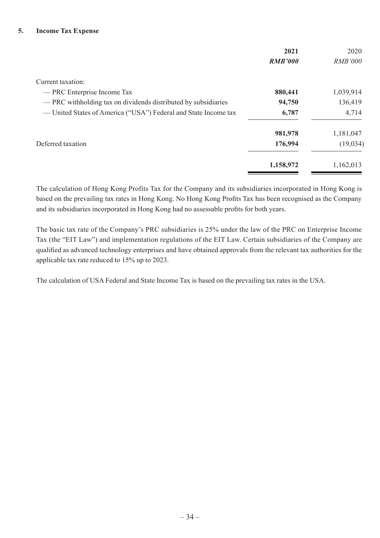#### **5. Income Tax Expense**

|                                                                 | 2021           | 2020           |
|-----------------------------------------------------------------|----------------|----------------|
|                                                                 | <b>RMB'000</b> | <b>RMB'000</b> |
| Current taxation:                                               |                |                |
| — PRC Enterprise Income Tax                                     | 880,441        | 1,039,914      |
| — PRC withholding tax on dividends distributed by subsidiaries  | 94,750         | 136,419        |
| — United States of America ("USA") Federal and State Income tax | 6,787          | 4,714          |
|                                                                 | 981,978        | 1,181,047      |
| Deferred taxation                                               | 176,994        | (19,034)       |
|                                                                 | 1,158,972      | 1,162,013      |

The calculation of Hong Kong Profits Tax for the Company and its subsidiaries incorporated in Hong Kong is based on the prevailing tax rates in Hong Kong. No Hong Kong Profits Tax has been recognised as the Company and its subsidiaries incorporated in Hong Kong had no assessable profits for both years.

The basic tax rate of the Company's PRC subsidiaries is 25% under the law of the PRC on Enterprise Income Tax (the "EIT Law") and implementation regulations of the EIT Law. Certain subsidiaries of the Company are qualified as advanced technology enterprises and have obtained approvals from the relevant tax authorities for the applicable tax rate reduced to 15% up to 2023.

The calculation of USA Federal and State Income Tax is based on the prevailing tax rates in the USA.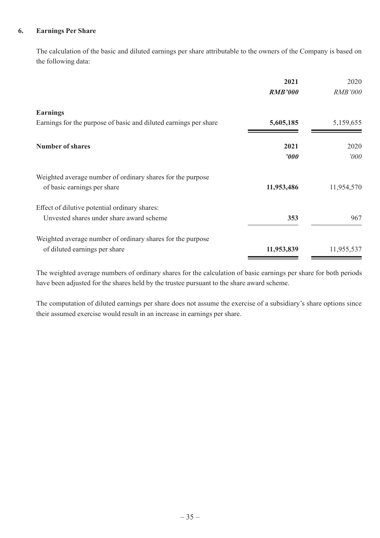#### **6. Earnings Per Share**

The calculation of the basic and diluted earnings per share attributable to the owners of the Company is based on the following data:

|                                                                  | 2021                  | 2020           |
|------------------------------------------------------------------|-----------------------|----------------|
|                                                                  | <b>RMB'000</b>        | <b>RMB'000</b> |
| <b>Earnings</b>                                                  |                       |                |
| Earnings for the purpose of basic and diluted earnings per share | 5,605,185             | 5,159,655      |
| <b>Number of shares</b>                                          | 2021                  | 2020           |
|                                                                  | $\boldsymbol{\theta}$ | 000'           |
| Weighted average number of ordinary shares for the purpose       |                       |                |
| of basic earnings per share                                      | 11,953,486            | 11,954,570     |
| Effect of dilutive potential ordinary shares:                    |                       |                |
| Unvested shares under share award scheme                         | 353                   | 967            |
| Weighted average number of ordinary shares for the purpose       |                       |                |
| of diluted earnings per share                                    | 11,953,839            | 11,955,537     |

The weighted average numbers of ordinary shares for the calculation of basic earnings per share for both periods have been adjusted for the shares held by the trustee pursuant to the share award scheme.

The computation of diluted earnings per share does not assume the exercise of a subsidiary's share options since their assumed exercise would result in an increase in earnings per share.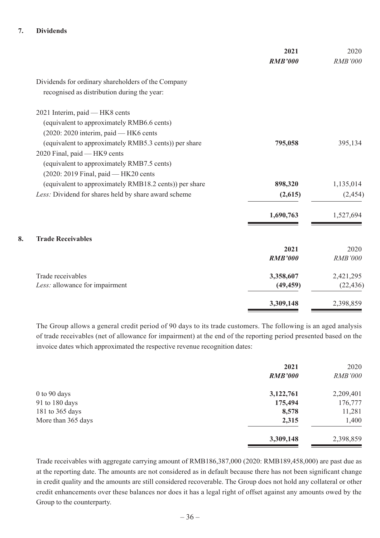#### **7. Dividends**

|                                                        | 2021<br><b>RMB'000</b> | 2020<br><b>RMB'000</b> |
|--------------------------------------------------------|------------------------|------------------------|
| Dividends for ordinary shareholders of the Company     |                        |                        |
| recognised as distribution during the year:            |                        |                        |
| 2021 Interim, paid - HK8 cents                         |                        |                        |
| (equivalent to approximately RMB6.6 cents)             |                        |                        |
| (2020: 2020 interim, paid — HK6 cents                  |                        |                        |
| (equivalent to approximately RMB5.3 cents)) per share  | 795,058                | 395,134                |
| 2020 Final, paid - HK9 cents                           |                        |                        |
| (equivalent to approximately RMB7.5 cents)             |                        |                        |
| (2020: 2019 Final, paid -HK20 cents                    |                        |                        |
| (equivalent to approximately RMB18.2 cents)) per share | 898,320                | 1,135,014              |
| Less: Dividend for shares held by share award scheme   | (2,615)                | (2, 454)               |
|                                                        | 1,690,763              | 1,527,694              |
| <b>Trade Receivables</b>                               |                        |                        |
|                                                        | 2021                   | 2020                   |
|                                                        | <b>RMB'000</b>         | <b>RMB'000</b>         |
| Trade receivables                                      | 3,358,607              | 2,421,295              |
| Less: allowance for impairment                         | (49, 459)              | (22, 436)              |
|                                                        | 3,309,148              | 2,398,859              |

The Group allows a general credit period of 90 days to its trade customers. The following is an aged analysis of trade receivables (net of allowance for impairment) at the end of the reporting period presented based on the invoice dates which approximated the respective revenue recognition dates:

|                    | 2021           | 2020           |
|--------------------|----------------|----------------|
|                    | <b>RMB'000</b> | <b>RMB'000</b> |
| 0 to 90 days       | 3,122,761      | 2,209,401      |
| 91 to 180 days     | 175,494        | 176,777        |
| 181 to 365 days    | 8,578          | 11,281         |
| More than 365 days | 2,315          | 1,400          |
|                    | 3,309,148      | 2,398,859      |

Trade receivables with aggregate carrying amount of RMB186,387,000 (2020: RMB189,458,000) are past due as at the reporting date. The amounts are not considered as in default because there has not been significant change in credit quality and the amounts are still considered recoverable. The Group does not hold any collateral or other credit enhancements over these balances nor does it has a legal right of offset against any amounts owed by the Group to the counterparty.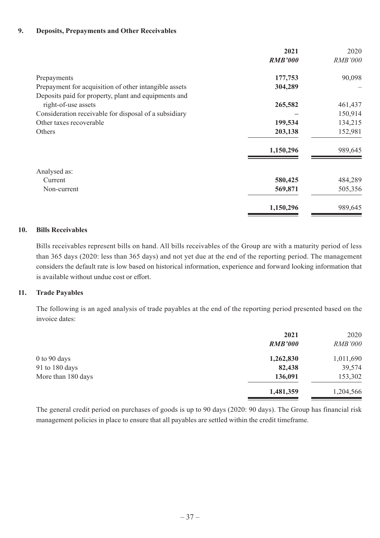#### **9. Deposits, Prepayments and Other Receivables**

|                                                       | 2021           | 2020           |
|-------------------------------------------------------|----------------|----------------|
|                                                       | <b>RMB'000</b> | <b>RMB'000</b> |
| Prepayments                                           | 177,753        | 90,098         |
| Prepayment for acquisition of other intangible assets | 304,289        |                |
| Deposits paid for property, plant and equipments and  |                |                |
| right-of-use assets                                   | 265,582        | 461,437        |
| Consideration receivable for disposal of a subsidiary |                | 150,914        |
| Other taxes recoverable                               | 199,534        | 134,215        |
| Others                                                | 203,138        | 152,981        |
|                                                       | 1,150,296      | 989,645        |
| Analysed as:                                          |                |                |
| Current                                               | 580,425        | 484,289        |
| Non-current                                           | 569,871        | 505,356        |
|                                                       | 1,150,296      | 989,645        |

#### **10. Bills Receivables**

Bills receivables represent bills on hand. All bills receivables of the Group are with a maturity period of less than 365 days (2020: less than 365 days) and not yet due at the end of the reporting period. The management considers the default rate is low based on historical information, experience and forward looking information that is available without undue cost or effort.

#### **11. Trade Payables**

The following is an aged analysis of trade payables at the end of the reporting period presented based on the invoice dates:

|                    | 2021<br><b>RMB'000</b> | 2020<br><b>RMB'000</b> |
|--------------------|------------------------|------------------------|
| $0$ to $90$ days   | 1,262,830              | 1,011,690              |
| 91 to 180 days     | 82,438                 | 39,574                 |
| More than 180 days | 136,091                | 153,302                |
|                    | 1,481,359              | 1,204,566              |

The general credit period on purchases of goods is up to 90 days (2020: 90 days). The Group has financial risk management policies in place to ensure that all payables are settled within the credit timeframe.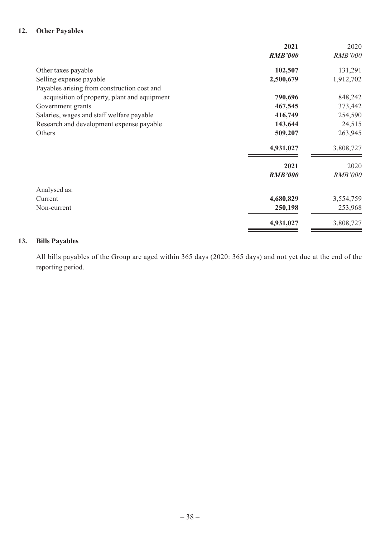#### **12. Other Payables**

|                                              | 2021           | 2020           |
|----------------------------------------------|----------------|----------------|
|                                              | <b>RMB'000</b> | <b>RMB'000</b> |
| Other taxes payable                          | 102,507        | 131,291        |
| Selling expense payable                      | 2,500,679      | 1,912,702      |
| Payables arising from construction cost and  |                |                |
| acquisition of property, plant and equipment | 790,696        | 848,242        |
| Government grants                            | 467,545        | 373,442        |
| Salaries, wages and staff welfare payable    | 416,749        | 254,590        |
| Research and development expense payable     | 143,644        | 24,515         |
| Others                                       | 509,207        | 263,945        |
|                                              | 4,931,027      | 3,808,727      |
|                                              | 2021           | 2020           |
|                                              | <b>RMB'000</b> | <b>RMB'000</b> |
| Analysed as:                                 |                |                |
| Current                                      | 4,680,829      | 3,554,759      |
| Non-current                                  | 250,198        | 253,968        |
|                                              | 4,931,027      | 3,808,727      |
|                                              |                |                |

#### **13. Bills Payables**

All bills payables of the Group are aged within 365 days (2020: 365 days) and not yet due at the end of the reporting period.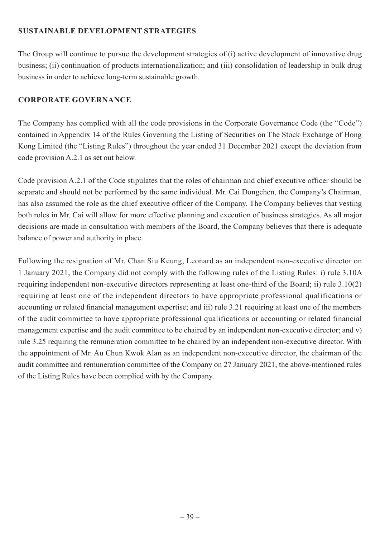## **SUSTAINABLE DEVELOPMENT STRATEGIES**

The Group will continue to pursue the development strategies of (i) active development of innovative drug business; (ii) continuation of products internationalization; and (iii) consolidation of leadership in bulk drug business in order to achieve long-term sustainable growth.

## **CORPORATE GOVERNANCE**

The Company has complied with all the code provisions in the Corporate Governance Code (the "Code") contained in Appendix 14 of the Rules Governing the Listing of Securities on The Stock Exchange of Hong Kong Limited (the "Listing Rules") throughout the year ended 31 December 2021 except the deviation from code provision A.2.1 as set out below.

Code provision A.2.1 of the Code stipulates that the roles of chairman and chief executive officer should be separate and should not be performed by the same individual. Mr. Cai Dongchen, the Company's Chairman, has also assumed the role as the chief executive officer of the Company. The Company believes that vesting both roles in Mr. Cai will allow for more effective planning and execution of business strategies. As all major decisions are made in consultation with members of the Board, the Company believes that there is adequate balance of power and authority in place.

Following the resignation of Mr. Chan Siu Keung, Leonard as an independent non-executive director on 1 January 2021, the Company did not comply with the following rules of the Listing Rules: i) rule 3.10A requiring independent non-executive directors representing at least one-third of the Board; ii) rule 3.10(2) requiring at least one of the independent directors to have appropriate professional qualifications or accounting or related financial management expertise; and iii) rule 3.21 requiring at least one of the members of the audit committee to have appropriate professional qualifications or accounting or related financial management expertise and the audit committee to be chaired by an independent non-executive director; and v) rule 3.25 requiring the remuneration committee to be chaired by an independent non-executive director. With the appointment of Mr. Au Chun Kwok Alan as an independent non-executive director, the chairman of the audit committee and remuneration committee of the Company on 27 January 2021, the above-mentioned rules of the Listing Rules have been complied with by the Company.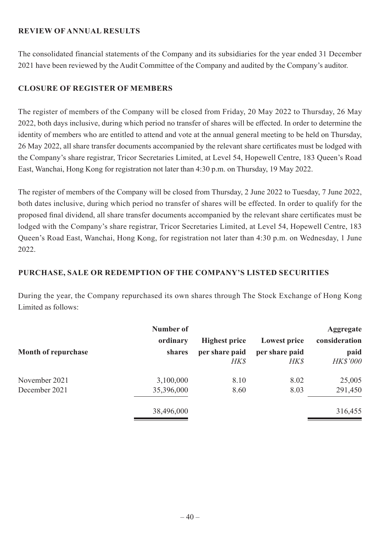## **REVIEW OF ANNUAL RESULTS**

The consolidated financial statements of the Company and its subsidiaries for the year ended 31 December 2021 have been reviewed by the Audit Committee of the Company and audited by the Company's auditor.

## **CLOSURE OF REGISTER OF MEMBERS**

The register of members of the Company will be closed from Friday, 20 May 2022 to Thursday, 26 May 2022, both days inclusive, during which period no transfer of shares will be effected. In order to determine the identity of members who are entitled to attend and vote at the annual general meeting to be held on Thursday, 26 May 2022, all share transfer documents accompanied by the relevant share certificates must be lodged with the Company's share registrar, Tricor Secretaries Limited, at Level 54, Hopewell Centre, 183 Queen's Road East, Wanchai, Hong Kong for registration not later than 4:30 p.m. on Thursday, 19 May 2022.

The register of members of the Company will be closed from Thursday, 2 June 2022 to Tuesday, 7 June 2022, both dates inclusive, during which period no transfer of shares will be effected. In order to qualify for the proposed final dividend, all share transfer documents accompanied by the relevant share certificates must be lodged with the Company's share registrar, Tricor Secretaries Limited, at Level 54, Hopewell Centre, 183 Queen's Road East, Wanchai, Hong Kong, for registration not later than 4:30 p.m. on Wednesday, 1 June 2022.

## **PURCHASE, SALE OR REDEMPTION OF THE COMPANY'S LISTED SECURITIES**

During the year, the Company repurchased its own shares through The Stock Exchange of Hong Kong Limited as follows:

| Number of  |                      |                     | <b>Aggregate</b> |
|------------|----------------------|---------------------|------------------|
| ordinary   | <b>Highest price</b> | <b>Lowest price</b> | consideration    |
| shares     | per share paid       | per share paid      | paid             |
|            | <b>HK\$</b>          | HK\$                | <b>HK\$'000</b>  |
| 3,100,000  | 8.10                 | 8.02                | 25,005           |
| 35,396,000 | 8.60                 | 8.03                | 291,450          |
| 38,496,000 |                      |                     | 316,455          |
|            |                      |                     |                  |